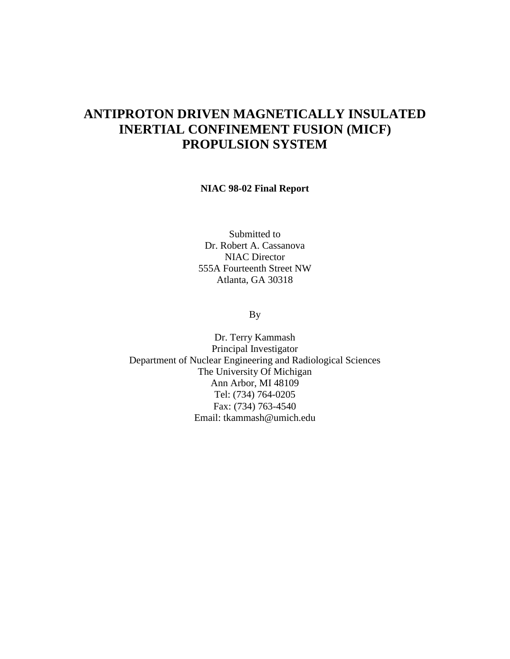# **ANTIPROTON DRIVEN MAGNETICALLY INSULATED INERTIAL CONFINEMENT FUSION (MICF) PROPULSION SYSTEM**

#### **NIAC 98-02 Final Report**

Submitted to Dr. Robert A. Cassanova NIAC Director 555A Fourteenth Street NW Atlanta, GA 30318

By

Dr. Terry Kammash Principal Investigator Department of Nuclear Engineering and Radiological Sciences The University Of Michigan Ann Arbor, MI 48109 Tel: (734) 764-0205 Fax: (734) 763-4540 Email: tkammash@umich.edu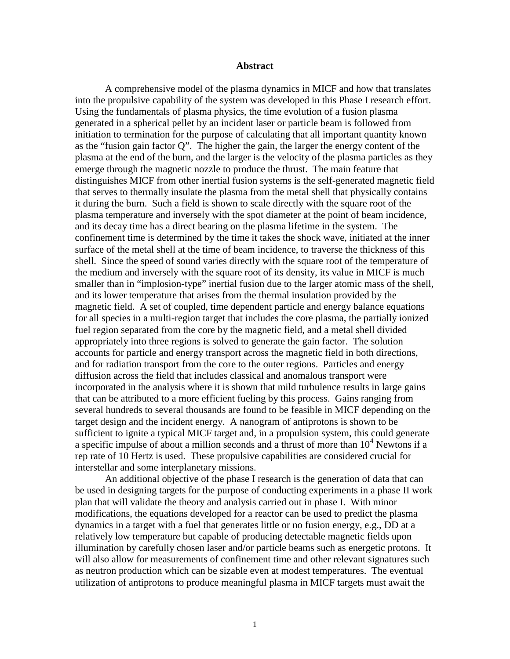#### **Abstract**

A comprehensive model of the plasma dynamics in MICF and how that translates into the propulsive capability of the system was developed in this Phase I research effort. Using the fundamentals of plasma physics, the time evolution of a fusion plasma generated in a spherical pellet by an incident laser or particle beam is followed from initiation to termination for the purpose of calculating that all important quantity known as the "fusion gain factor Q". The higher the gain, the larger the energy content of the plasma at the end of the burn, and the larger is the velocity of the plasma particles as they emerge through the magnetic nozzle to produce the thrust. The main feature that distinguishes MICF from other inertial fusion systems is the self-generated magnetic field that serves to thermally insulate the plasma from the metal shell that physically contains it during the burn. Such a field is shown to scale directly with the square root of the plasma temperature and inversely with the spot diameter at the point of beam incidence, and its decay time has a direct bearing on the plasma lifetime in the system. The confinement time is determined by the time it takes the shock wave, initiated at the inner surface of the metal shell at the time of beam incidence, to traverse the thickness of this shell. Since the speed of sound varies directly with the square root of the temperature of the medium and inversely with the square root of its density, its value in MICF is much smaller than in "implosion-type" inertial fusion due to the larger atomic mass of the shell, and its lower temperature that arises from the thermal insulation provided by the magnetic field. A set of coupled, time dependent particle and energy balance equations for all species in a multi-region target that includes the core plasma, the partially ionized fuel region separated from the core by the magnetic field, and a metal shell divided appropriately into three regions is solved to generate the gain factor. The solution accounts for particle and energy transport across the magnetic field in both directions, and for radiation transport from the core to the outer regions. Particles and energy diffusion across the field that includes classical and anomalous transport were incorporated in the analysis where it is shown that mild turbulence results in large gains that can be attributed to a more efficient fueling by this process. Gains ranging from several hundreds to several thousands are found to be feasible in MICF depending on the target design and the incident energy. A nanogram of antiprotons is shown to be sufficient to ignite a typical MICF target and, in a propulsion system, this could generate a specific impulse of about a million seconds and a thrust of more than  $10<sup>4</sup>$  Newtons if a rep rate of 10 Hertz is used. These propulsive capabilities are considered crucial for interstellar and some interplanetary missions.

An additional objective of the phase I research is the generation of data that can be used in designing targets for the purpose of conducting experiments in a phase II work plan that will validate the theory and analysis carried out in phase I. With minor modifications, the equations developed for a reactor can be used to predict the plasma dynamics in a target with a fuel that generates little or no fusion energy, e.g., DD at a relatively low temperature but capable of producing detectable magnetic fields upon illumination by carefully chosen laser and/or particle beams such as energetic protons. It will also allow for measurements of confinement time and other relevant signatures such as neutron production which can be sizable even at modest temperatures. The eventual utilization of antiprotons to produce meaningful plasma in MICF targets must await the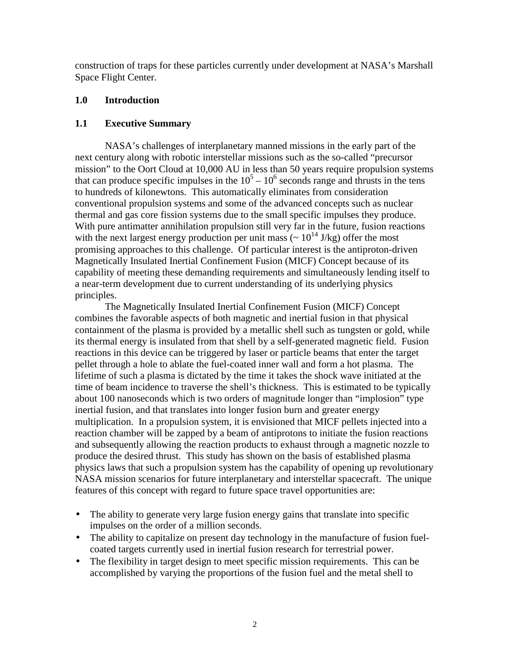construction of traps for these particles currently under development at NASA's Marshall Space Flight Center.

## **1.0 Introduction**

## **1.1 Executive Summary**

NASA's challenges of interplanetary manned missions in the early part of the next century along with robotic interstellar missions such as the so-called "precursor mission" to the Oort Cloud at 10,000 AU in less than 50 years require propulsion systems that can produce specific impulses in the  $10^5 - 10^6$  seconds range and thrusts in the tens to hundreds of kilonewtons. This automatically eliminates from consideration conventional propulsion systems and some of the advanced concepts such as nuclear thermal and gas core fission systems due to the small specific impulses they produce. With pure antimatter annihilation propulsion still very far in the future, fusion reactions with the next largest energy production per unit mass  $\left(\sim 10^{14} \text{ J/kg}\right)$  offer the most promising approaches to this challenge. Of particular interest is the antiproton-driven Magnetically Insulated Inertial Confinement Fusion (MICF) Concept because of its capability of meeting these demanding requirements and simultaneously lending itself to a near-term development due to current understanding of its underlying physics principles.

The Magnetically Insulated Inertial Confinement Fusion (MICF) Concept combines the favorable aspects of both magnetic and inertial fusion in that physical containment of the plasma is provided by a metallic shell such as tungsten or gold, while its thermal energy is insulated from that shell by a self-generated magnetic field. Fusion reactions in this device can be triggered by laser or particle beams that enter the target pellet through a hole to ablate the fuel-coated inner wall and form a hot plasma. The lifetime of such a plasma is dictated by the time it takes the shock wave initiated at the time of beam incidence to traverse the shell's thickness. This is estimated to be typically about 100 nanoseconds which is two orders of magnitude longer than "implosion" type inertial fusion, and that translates into longer fusion burn and greater energy multiplication. In a propulsion system, it is envisioned that MICF pellets injected into a reaction chamber will be zapped by a beam of antiprotons to initiate the fusion reactions and subsequently allowing the reaction products to exhaust through a magnetic nozzle to produce the desired thrust. This study has shown on the basis of established plasma physics laws that such a propulsion system has the capability of opening up revolutionary NASA mission scenarios for future interplanetary and interstellar spacecraft. The unique features of this concept with regard to future space travel opportunities are:

- The ability to generate very large fusion energy gains that translate into specific impulses on the order of a million seconds.
- The ability to capitalize on present day technology in the manufacture of fusion fuelcoated targets currently used in inertial fusion research for terrestrial power.
- The flexibility in target design to meet specific mission requirements. This can be accomplished by varying the proportions of the fusion fuel and the metal shell to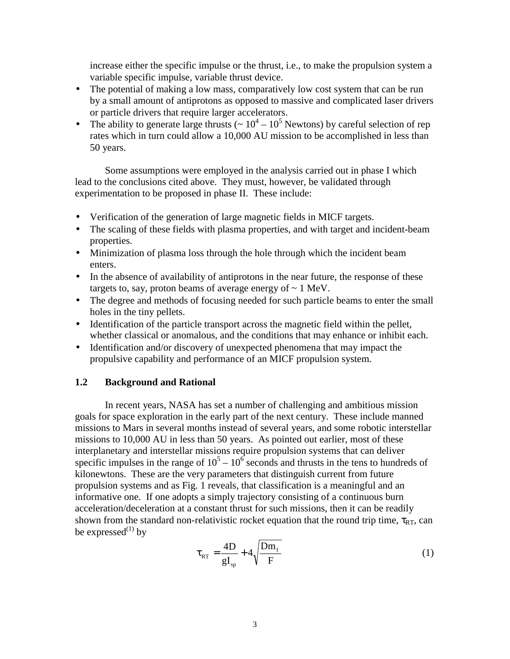increase either the specific impulse or the thrust, i.e., to make the propulsion system a variable specific impulse, variable thrust device.

- The potential of making a low mass, comparatively low cost system that can be run by a small amount of antiprotons as opposed to massive and complicated laser drivers or particle drivers that require larger accelerators.
- The ability to generate large thrusts ( $\sim 10^4 10^5$  Newtons) by careful selection of rep rates which in turn could allow a 10,000 AU mission to be accomplished in less than 50 years.

Some assumptions were employed in the analysis carried out in phase I which lead to the conclusions cited above. They must, however, be validated through experimentation to be proposed in phase II. These include:

- Verification of the generation of large magnetic fields in MICF targets.
- The scaling of these fields with plasma properties, and with target and incident-beam properties.
- Minimization of plasma loss through the hole through which the incident beam enters.
- In the absence of availability of antiprotons in the near future, the response of these targets to, say, proton beams of average energy of  $\sim 1$  MeV.
- The degree and methods of focusing needed for such particle beams to enter the small holes in the tiny pellets.
- Identification of the particle transport across the magnetic field within the pellet, whether classical or anomalous, and the conditions that may enhance or inhibit each.
- Identification and/or discovery of unexpected phenomena that may impact the propulsive capability and performance of an MICF propulsion system.

## **1.2 Background and Rational**

In recent years, NASA has set a number of challenging and ambitious mission goals for space exploration in the early part of the next century. These include manned missions to Mars in several months instead of several years, and some robotic interstellar missions to 10,000 AU in less than 50 years. As pointed out earlier, most of these interplanetary and interstellar missions require propulsion systems that can deliver specific impulses in the range of  $10^5 - 10^6$  seconds and thrusts in the tens to hundreds of kilonewtons. These are the very parameters that distinguish current from future propulsion systems and as Fig. 1 reveals, that classification is a meaningful and an informative one. If one adopts a simply trajectory consisting of a continuous burn acceleration/deceleration at a constant thrust for such missions, then it can be readily shown from the standard non-relativistic rocket equation that the round trip time,  $\tau_{RT}$ , can be expressed $^{(1)}$  by

$$
\tau_{RT} = \frac{4D}{gI_{sp}} + 4\sqrt{\frac{Dm_f}{F}}
$$
 (1)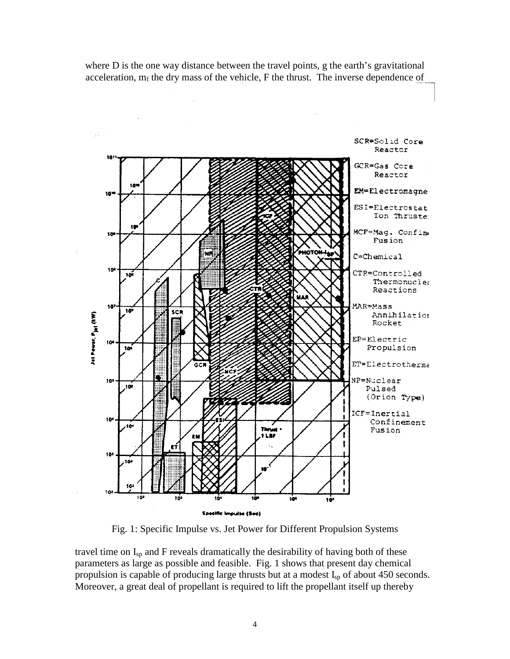where D is the one way distance between the travel points, g the earth's gravitational acceleration,  $m_f$  the dry mass of the vehicle, F the thrust. The inverse dependence of



Fig. 1: Specific Impulse vs. Jet Power for Different Propulsion Systems

travel time on  $I_{sp}$  and F reveals dramatically the desirability of having both of these parameters as large as possible and feasible. Fig. 1 shows that present day chemical propulsion is capable of producing large thrusts but at a modest  $I_{sp}$  of about 450 seconds. Moreover, a great deal of propellant is required to lift the propellant itself up thereby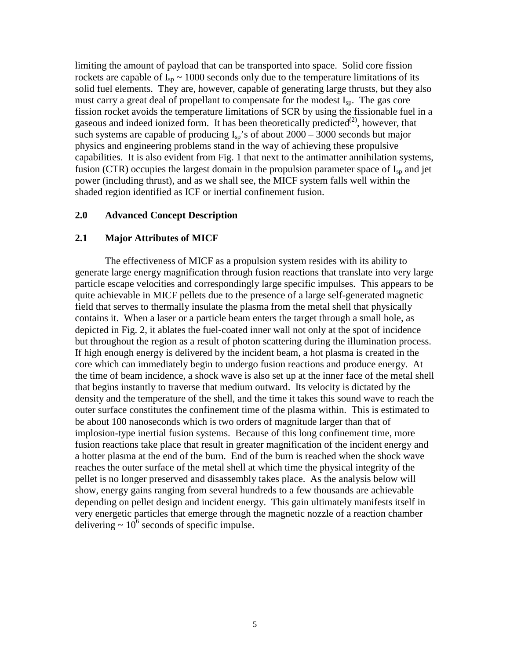limiting the amount of payload that can be transported into space. Solid core fission rockets are capable of  $I_{sp} \sim 1000$  seconds only due to the temperature limitations of its solid fuel elements. They are, however, capable of generating large thrusts, but they also must carry a great deal of propellant to compensate for the modest I<sub>sp</sub>. The gas core fission rocket avoids the temperature limitations of SCR by using the fissionable fuel in a gaseous and indeed ionized form. It has been theoretically predicted<sup> $(2)$ </sup>, however, that such systems are capable of producing  $I_{\rm{sp}}$ 's of about 2000 – 3000 seconds but major physics and engineering problems stand in the way of achieving these propulsive capabilities. It is also evident from Fig. 1 that next to the antimatter annihilation systems, fusion (CTR) occupies the largest domain in the propulsion parameter space of  $I_{\text{sp}}$  and jet power (including thrust), and as we shall see, the MICF system falls well within the shaded region identified as ICF or inertial confinement fusion.

## **2.0 Advanced Concept Description**

## **2.1 Major Attributes of MICF**

The effectiveness of MICF as a propulsion system resides with its ability to generate large energy magnification through fusion reactions that translate into very large particle escape velocities and correspondingly large specific impulses. This appears to be quite achievable in MICF pellets due to the presence of a large self-generated magnetic field that serves to thermally insulate the plasma from the metal shell that physically contains it. When a laser or a particle beam enters the target through a small hole, as depicted in Fig. 2, it ablates the fuel-coated inner wall not only at the spot of incidence but throughout the region as a result of photon scattering during the illumination process. If high enough energy is delivered by the incident beam, a hot plasma is created in the core which can immediately begin to undergo fusion reactions and produce energy. At the time of beam incidence, a shock wave is also set up at the inner face of the metal shell that begins instantly to traverse that medium outward. Its velocity is dictated by the density and the temperature of the shell, and the time it takes this sound wave to reach the outer surface constitutes the confinement time of the plasma within. This is estimated to be about 100 nanoseconds which is two orders of magnitude larger than that of implosion-type inertial fusion systems. Because of this long confinement time, more fusion reactions take place that result in greater magnification of the incident energy and a hotter plasma at the end of the burn. End of the burn is reached when the shock wave reaches the outer surface of the metal shell at which time the physical integrity of the pellet is no longer preserved and disassembly takes place. As the analysis below will show, energy gains ranging from several hundreds to a few thousands are achievable depending on pellet design and incident energy. This gain ultimately manifests itself in very energetic particles that emerge through the magnetic nozzle of a reaction chamber delivering  $\sim 10^6$  seconds of specific impulse.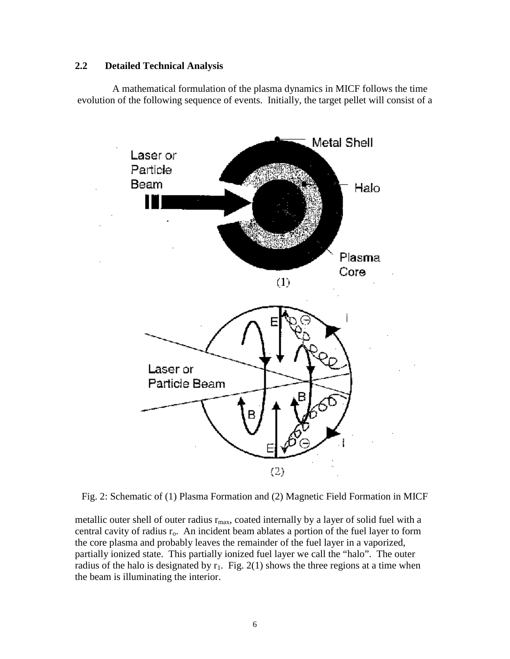## **2.2 Detailed Technical Analysis**

A mathematical formulation of the plasma dynamics in MICF follows the time evolution of the following sequence of events. Initially, the target pellet will consist of a



Fig. 2: Schematic of (1) Plasma Formation and (2) Magnetic Field Formation in MICF

metallic outer shell of outer radius  $r_{\text{max}}$ , coated internally by a layer of solid fuel with a central cavity of radius  $r_0$ . An incident beam ablates a portion of the fuel layer to form the core plasma and probably leaves the remainder of the fuel layer in a vaporized, partially ionized state. This partially ionized fuel layer we call the "halo". The outer radius of the halo is designated by  $r_1$ . Fig. 2(1) shows the three regions at a time when the beam is illuminating the interior.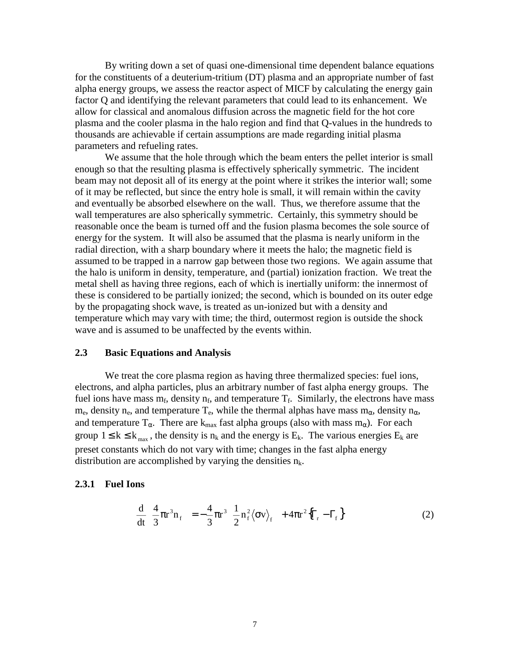By writing down a set of quasi one-dimensional time dependent balance equations for the constituents of a deuterium-tritium (DT) plasma and an appropriate number of fast alpha energy groups, we assess the reactor aspect of MICF by calculating the energy gain factor Q and identifying the relevant parameters that could lead to its enhancement. We allow for classical and anomalous diffusion across the magnetic field for the hot core plasma and the cooler plasma in the halo region and find that Q-values in the hundreds to thousands are achievable if certain assumptions are made regarding initial plasma parameters and refueling rates.

We assume that the hole through which the beam enters the pellet interior is small enough so that the resulting plasma is effectively spherically symmetric. The incident beam may not deposit all of its energy at the point where it strikes the interior wall; some of it may be reflected, but since the entry hole is small, it will remain within the cavity and eventually be absorbed elsewhere on the wall. Thus, we therefore assume that the wall temperatures are also spherically symmetric. Certainly, this symmetry should be reasonable once the beam is turned off and the fusion plasma becomes the sole source of energy for the system. It will also be assumed that the plasma is nearly uniform in the radial direction, with a sharp boundary where it meets the halo; the magnetic field is assumed to be trapped in a narrow gap between those two regions. We again assume that the halo is uniform in density, temperature, and (partial) ionization fraction. We treat the metal shell as having three regions, each of which is inertially uniform: the innermost of these is considered to be partially ionized; the second, which is bounded on its outer edge by the propagating shock wave, is treated as un-ionized but with a density and temperature which may vary with time; the third, outermost region is outside the shock wave and is assumed to be unaffected by the events within.

#### **2.3 Basic Equations and Analysis**

We treat the core plasma region as having three thermalized species: fuel ions, electrons, and alpha particles, plus an arbitrary number of fast alpha energy groups. The fuel ions have mass  $m_f$ , density  $n_f$ , and temperature  $T_f$ . Similarly, the electrons have mass  $m_e$ , density n<sub>e</sub>, and temperature T<sub>e</sub>, while the thermal alphas have mass  $m_\alpha$ , density  $n_\alpha$ , and temperature  $T_{\alpha}$ . There are k<sub>max</sub> fast alpha groups (also with mass m<sub>α</sub>). For each group  $1 \le k \le k_{\text{max}}$ , the density is  $n_k$  and the energy is  $E_k$ . The various energies  $E_k$  are preset constants which do not vary with time; changes in the fast alpha energy distribution are accomplished by varying the densities  $n_k$ .

#### **2.3.1 Fuel Ions**

$$
\frac{\mathrm{d}}{\mathrm{d}t} \left\{ \frac{4}{3} \pi r^3 n_{\mathrm{f}} \right\} = -\frac{4}{3} \pi r^3 \left\{ \frac{1}{2} n_{\mathrm{f}}^2 \left\langle \sigma v \right\rangle_{\mathrm{f}} \right\} + 4 \pi r^2 \left\{ \Gamma_{\mathrm{r}} - \Gamma_{\mathrm{f}} \right\} \tag{2}
$$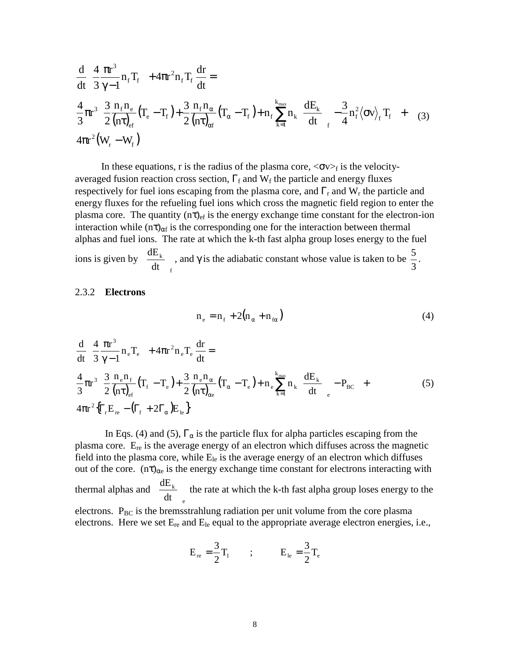$$
\frac{d}{dt} \left\{ \frac{4}{3} \frac{\pi r^3}{\gamma - 1} n_f T_f \right\} + 4\pi r^2 n_f T_f \frac{dr}{dt} =
$$
\n
$$
\frac{4}{3} \pi r^3 \left\{ \frac{3}{2} \frac{n_f n_e}{(n\tau)_{ef}} (T_e - T_f) + \frac{3}{2} \frac{n_f n_{\alpha}}{(n\tau)_{\alpha f}} (T_{\alpha} - T_f) + n_f \sum_{k=1}^{k_{max}} n_k \left( \frac{dE_k}{dt} \right)_f - \frac{3}{4} n_f^2 \langle \sigma v \rangle_f T_f \right\} + (3)
$$
\n
$$
4\pi r^2 (W_r - W_f)
$$

In these equations, r is the radius of the plasma core,  $\langle \sigma v \rangle_f$  is the velocityaveraged fusion reaction cross section,  $\Gamma_f$  and  $W_f$  the particle and energy fluxes respectively for fuel ions escaping from the plasma core, and  $\Gamma_r$  and  $W_r$  the particle and energy fluxes for the refueling fuel ions which cross the magnetic field region to enter the plasma core. The quantity  $(n\tau)_{\text{ef}}$  is the energy exchange time constant for the electron-ion interaction while  $(n\tau)_{\alpha f}$  is the corresponding one for the interaction between thermal alphas and fuel ions. The rate at which the k-th fast alpha group loses energy to the fuel ions is given by f k dt  $\frac{dE_k}{dt}$  $\overline{1}$  $\frac{dE_k}{dt}$ l  $\left(\frac{dE_k}{dt}\right)$ , and  $\gamma$  is the adiabatic constant whose value is taken to be 3  $\frac{5}{2}$ .

#### 2.3.2 **Electrons**

$$
n_e = n_f + 2(n_\alpha + n_{f\alpha})
$$
\n(4)

$$
\frac{d}{dt} \left\{ \frac{4}{3} \frac{\pi r^3}{\gamma - 1} n_e T_e \right\} + 4\pi r^2 n_e T_e \frac{dr}{dt} =
$$
\n
$$
\frac{4}{3} \pi r^3 \left\{ \frac{3}{2} \frac{n_e n_f}{(n\tau)_{\rm ef}} (T_f - T_e) + \frac{3}{2} \frac{n_e n_\alpha}{(n\tau)_{\rm ce}} (T_\alpha - T_e) + n_e \sum_{k=1}^{k_{\rm max}} n_k \left( \frac{dE_k}{dt} \right)_e - P_{\rm BC} \right\} +
$$
\n
$$
4\pi r^2 \left\{ \Gamma_r E_{\rm re} - (\Gamma_f + 2\Gamma_\alpha) E_{\rm le} \right\}
$$
\n(5)

In Eqs. (4) and (5),  $\Gamma_{\alpha}$  is the particle flux for alpha particles escaping from the plasma core.  $E_{re}$  is the average energy of an electron which diffuses across the magnetic field into the plasma core, while  $E_{le}$  is the average energy of an electron which diffuses out of the core.  $(n\tau)_{\alpha e}$  is the energy exchange time constant for electrons interacting with thermal alphas and e k dt  $\frac{dE_k}{dt}$  $\overline{\phantom{a}}$  $\left(\frac{dE_k}{dt}\right)$ l  $\left(\frac{dE_k}{dt}\right)$  the rate at which the k-th fast alpha group loses energy to the electrons.  $P_{BC}$  is the bremsstrahlung radiation per unit volume from the core plasma electrons. Here we set  $E_{re}$  and  $E_{le}$  equal to the appropriate average electron energies, i.e.,

$$
E_{\rm re}=\frac{3}{2}T_{\rm 1}\qquad;\qquad E_{\rm le}=\frac{3}{2}T_{\rm e}
$$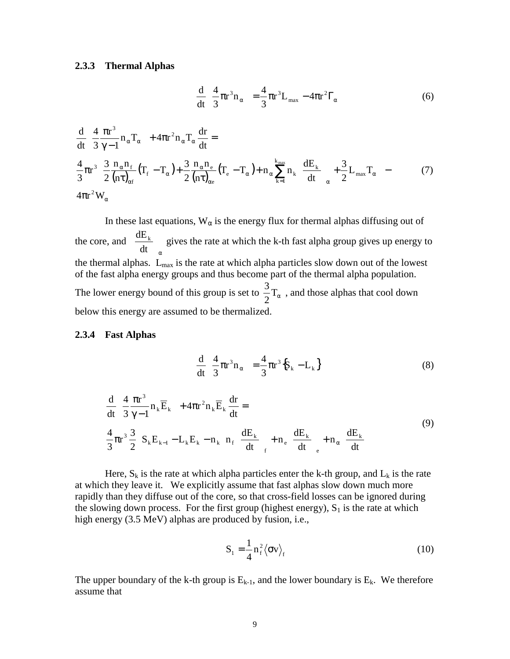#### **2.3.3 Thermal Alphas**

$$
\frac{\mathrm{d}}{\mathrm{d}t} \left\{ \frac{4}{3} \pi r^3 n_\alpha \right\} = \frac{4}{3} \pi r^3 L_{\text{max}} - 4 \pi r^2 \Gamma_\alpha \tag{6}
$$

$$
\frac{d}{dt} \left\{ \frac{4}{3} \frac{\pi r^3}{\gamma - 1} n_\alpha T_\alpha \right\} + 4\pi r^2 n_\alpha T_\alpha \frac{dr}{dt} =
$$
\n
$$
\frac{4}{3} \pi r^3 \left\{ \frac{3}{2} \frac{n_\alpha n_f}{(n\tau)_{\alpha f}} (T_f - T_\alpha) + \frac{3}{2} \frac{n_\alpha n_e}{(n\tau)_{\alpha e}} (T_e - T_\alpha) + n_\alpha \sum_{k=1}^{k_{\text{max}}} n_k \left( \frac{dE_k}{dt} \right)_\alpha + \frac{3}{2} L_{\text{max}} T_\alpha \right\} - (7)
$$
\n
$$
4\pi r^2 W_\alpha
$$

In these last equations,  $W_{\alpha}$  is the energy flux for thermal alphas diffusing out of the core, and α J  $\overline{\phantom{a}}$  $\left(\frac{dE_k}{dt}\right)$ l ſ dt  $\frac{dE_k}{dt}$  gives the rate at which the k-th fast alpha group gives up energy to the thermal alphas. Lmax is the rate at which alpha particles slow down out of the lowest of the fast alpha energy groups and thus become part of the thermal alpha population. The lower energy bound of this group is set to  $\frac{3}{2}T_{\alpha}$ , and those alphas that cool down below this energy are assumed to be thermalized.

#### **2.3.4 Fast Alphas**

$$
\frac{\mathrm{d}}{\mathrm{d}t} \left\{ \frac{4}{3} \pi r^3 n_\alpha \right\} = \frac{4}{3} \pi r^3 \left\{ S_k - L_k \right\} \tag{8}
$$

$$
\frac{d}{dt} \left\{ \frac{4}{3} \frac{\pi r^3}{\gamma - 1} n_k \overline{E}_k \right\} + 4 \pi r^2 n_k \overline{E}_k \frac{dr}{dt} =
$$
\n
$$
\frac{4}{3} \pi r^3 \frac{3}{2} \left\{ S_k E_{k-1} - L_k E_k - n_k \left[ n_f \left( \frac{dE_k}{dt} \right)_f + n_e \left( \frac{dE_k}{dt} \right)_e + n_\alpha \left( \frac{dE_k}{dt} \right) \right] \right\}
$$
\n(9)

Here,  $S_k$  is the rate at which alpha particles enter the k-th group, and  $L_k$  is the rate at which they leave it. We explicitly assume that fast alphas slow down much more rapidly than they diffuse out of the core, so that cross-field losses can be ignored during the slowing down process. For the first group (highest energy),  $S_1$  is the rate at which high energy (3.5 MeV) alphas are produced by fusion, i.e.,

$$
S_1 = \frac{1}{4} n_f^2 \langle \sigma v \rangle_f \tag{10}
$$

The upper boundary of the k-th group is  $E_{k-1}$ , and the lower boundary is  $E_k$ . We therefore assume that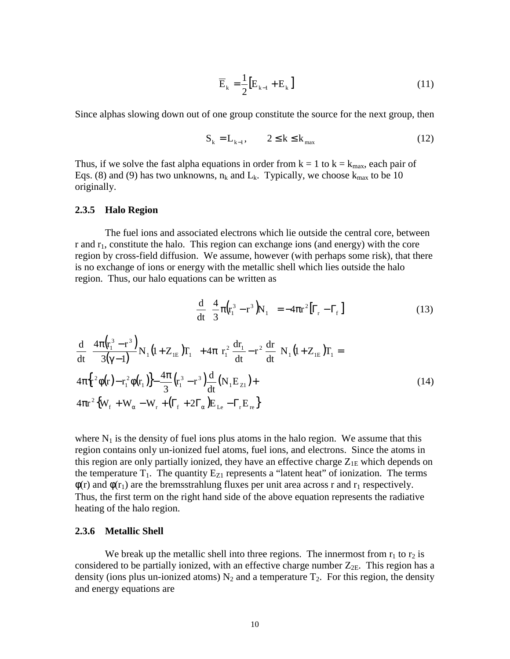$$
\overline{\mathbf{E}}_{k} = \frac{1}{2} \left[ \mathbf{E}_{k-1} + \mathbf{E}_{k} \right]
$$
 (11)

Since alphas slowing down out of one group constitute the source for the next group, then

$$
\mathbf{S}_{k} = \mathbf{L}_{k-1}, \qquad 2 \leq k \leq k_{\text{max}} \tag{12}
$$

Thus, if we solve the fast alpha equations in order from  $k = 1$  to  $k = k_{max}$ , each pair of Eqs. (8) and (9) has two unknowns,  $n_k$  and  $L_k$ . Typically, we choose  $k_{max}$  to be 10 originally.

#### **2.3.5 Halo Region**

The fuel ions and associated electrons which lie outside the central core, between r and  $r_1$ , constitute the halo. This region can exchange ions (and energy) with the core region by cross-field diffusion. We assume, however (with perhaps some risk), that there is no exchange of ions or energy with the metallic shell which lies outside the halo region. Thus, our halo equations can be written as

$$
\frac{\mathrm{d}}{\mathrm{d}t} \left\{ \frac{4}{3} \pi \left( \mathbf{r}_1^3 - \mathbf{r}^3 \right) \mathbf{N}_1 \right\} = -4 \pi \mathbf{r}^2 \left[ \Gamma_r - \Gamma_f \right] \tag{13}
$$

$$
\frac{d}{dt} \left\{ \frac{4\pi (r_1^3 - r^3)}{3(\gamma - 1)} N_1 (1 + Z_{1E}) T_1 \right\} + 4\pi \left[ r_1^2 \frac{dr_1}{dt} - r^2 \frac{dr}{dt} \right] N_1 (1 + Z_{1E}) T_1 =
$$
\n
$$
4\pi \left\{ r^2 \phi(r) - r_1^2 \phi(r_1) \right\} - \frac{4\pi}{3} \left( r_1^3 - r^3 \right) \frac{d}{dt} (N_1 E_{Z1}) +
$$
\n
$$
4\pi r^2 \left\{ W_f + W_\alpha - W_r + \left( \Gamma_f + 2\Gamma_\alpha \right) E_{Le} - \Gamma_r E_{re} \right\}
$$
\n(14)

where  $N_1$  is the density of fuel ions plus atoms in the halo region. We assume that this region contains only un-ionized fuel atoms, fuel ions, and electrons. Since the atoms in this region are only partially ionized, they have an effective charge  $Z_{1E}$  which depends on the temperature  $T_1$ . The quantity  $E_{Z1}$  represents a "latent heat" of ionization. The terms  $\phi(r)$  and  $\phi(r_1)$  are the bremsstrahlung fluxes per unit area across r and r<sub>1</sub> respectively. Thus, the first term on the right hand side of the above equation represents the radiative heating of the halo region.

#### **2.3.6 Metallic Shell**

We break up the metallic shell into three regions. The innermost from  $r_1$  to  $r_2$  is considered to be partially ionized, with an effective charge number  $Z_{2E}$ . This region has a density (ions plus un-ionized atoms)  $N_2$  and a temperature  $T_2$ . For this region, the density and energy equations are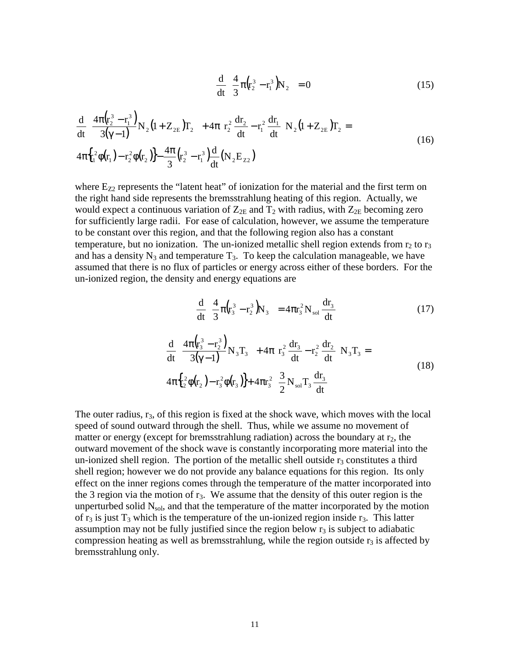$$
\frac{d}{dt} \left\{ \frac{4}{3} \pi (r_2^3 - r_1^3) N_2 \right\} = 0
$$
\n(15)

$$
\frac{d}{dt} \left\{ \frac{4\pi (r_2^3 - r_1^3)}{3(\gamma - 1)} N_2 (1 + Z_{2E}) T_2 \right\} + 4\pi \left[ r_2^2 \frac{dr_2}{dt} - r_1^2 \frac{dr_1}{dt} \right] N_2 (1 + Z_{2E}) T_2 =
$$
\n
$$
4\pi \left\{ r_1^2 \phi(r_1) - r_2^2 \phi(r_2) \right\} - \frac{4\pi}{3} \left( r_2^3 - r_1^3 \right) \frac{d}{dt} (N_2 E_{Z2})
$$
\n(16)

where  $E_{Z2}$  represents the "latent heat" of ionization for the material and the first term on the right hand side represents the bremsstrahlung heating of this region. Actually, we would expect a continuous variation of  $Z_{2E}$  and  $T_2$  with radius, with  $Z_{2E}$  becoming zero for sufficiently large radii. For ease of calculation, however, we assume the temperature to be constant over this region, and that the following region also has a constant temperature, but no ionization. The un-ionized metallic shell region extends from  $r_2$  to  $r_3$ and has a density  $N_3$  and temperature  $T_3$ . To keep the calculation manageable, we have assumed that there is no flux of particles or energy across either of these borders. For the un-ionized region, the density and energy equations are

$$
\frac{d}{dt} \left\{ \frac{4}{3} \pi \left( r_3^3 - r_2^3 \right) N_3 \right\} = 4 \pi r_3^2 N_{sol} \frac{dr_3}{dt}
$$
 (17)

$$
\frac{d}{dt} \left\{ \frac{4\pi (r_3^3 - r_2^3)}{3(\gamma - 1)} N_3 T_3 \right\} + 4\pi \left[ r_3^2 \frac{dr_3}{dt} - r_2^2 \frac{dr_2}{dt} \right] N_3 T_3 = 4\pi \left\{ r_2^2 \phi(r_2) - r_3^2 \phi(r_3) \right\} + 4\pi r_3^2 \left\{ \frac{3}{2} N_{sol} T_3 \frac{dr_3}{dt} \right\}
$$
\n(18)

The outer radius,  $r_3$ , of this region is fixed at the shock wave, which moves with the local speed of sound outward through the shell. Thus, while we assume no movement of matter or energy (except for bremsstrahlung radiation) across the boundary at  $r_2$ , the outward movement of the shock wave is constantly incorporating more material into the un-ionized shell region. The portion of the metallic shell outside  $r_3$  constitutes a third shell region; however we do not provide any balance equations for this region. Its only effect on the inner regions comes through the temperature of the matter incorporated into the 3 region via the motion of  $r_3$ . We assume that the density of this outer region is the unperturbed solid  $N_{sol}$ , and that the temperature of the matter incorporated by the motion of  $r_3$  is just  $T_3$  which is the temperature of the un-ionized region inside  $r_3$ . This latter assumption may not be fully justified since the region below  $r<sub>3</sub>$  is subject to adiabatic compression heating as well as bremsstrahlung, while the region outside  $r_3$  is affected by bremsstrahlung only.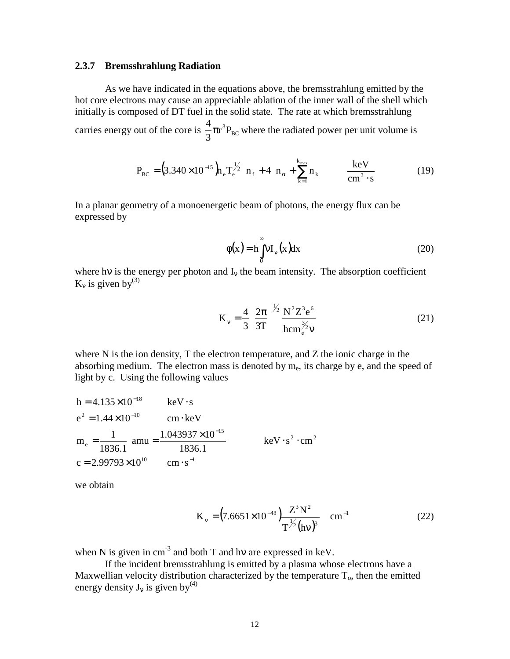#### **2.3.7 Bremsshrahlung Radiation**

As we have indicated in the equations above, the bremsstrahlung emitted by the hot core electrons may cause an appreciable ablation of the inner wall of the shell which initially is composed of DT fuel in the solid state. The rate at which bremsstrahlung carries energy out of the core is  $\frac{4}{2}\pi r^3 P_{BC}$ 3  $\frac{4}{5}\pi r^3 P_{BC}$  where the radiated power per unit volume is

$$
P_{BC} = (3.340 \times 10^{-15}) \, h_e T_e^{\frac{1}{2}} \left[ n_f + 4 \left( n_\alpha + \sum_{k=1}^{k_{max}} n_k \right) \right] \frac{keV}{cm^3 \cdot s} \tag{19}
$$

In a planar geometry of a monoenergetic beam of photons, the energy flux can be expressed by

$$
\phi(x) = h \int_{0}^{\infty} v I_{\nu}(x) dx
$$
\n(20)

where hv is the energy per photon and  $I_v$  the beam intensity. The absorption coefficient  $K_v$  is given by<sup>(3)</sup>

$$
K_{v} = \frac{4}{3} \left( \frac{2\pi}{3T} \right)^{\frac{1}{2}} \frac{N^{2} Z^{3} e^{6}}{h c m_{e}^{\frac{3}{2}} v}
$$
 (21)

where N is the ion density, T the electron temperature, and Z the ionic charge in the absorbing medium. The electron mass is denoted by  $m_e$ , its charge by e, and the speed of light by c. Using the following values

h = 4.135×10<sup>-18</sup> keV · s  
\ne<sup>2</sup> = 1.44×10<sup>-10</sup> cm·keV  
\nm<sub>e</sub> = 
$$
\frac{1}{1836.1}
$$
 amu =  $\frac{1.043937×10^{-15}}{1836.1}$  keV · s<sup>2</sup> · cm<sup>2</sup>  
\nc = 2.99793×10<sup>10</sup> cm · s<sup>-1</sup>

we obtain

$$
K_v = (7.6651 \times 10^{-48}) \frac{Z^3 N^2}{T^{1/2} (hv)^3} \text{ cm}^{-1}
$$
 (22)

when N is given in  $cm^{-3}$  and both T and hv are expressed in keV.

If the incident bremsstrahlung is emitted by a plasma whose electrons have a Maxwellian velocity distribution characterized by the temperature  $T<sub>o</sub>$ , then the emitted energy density  $J_v$  is given by<sup>(4)</sup>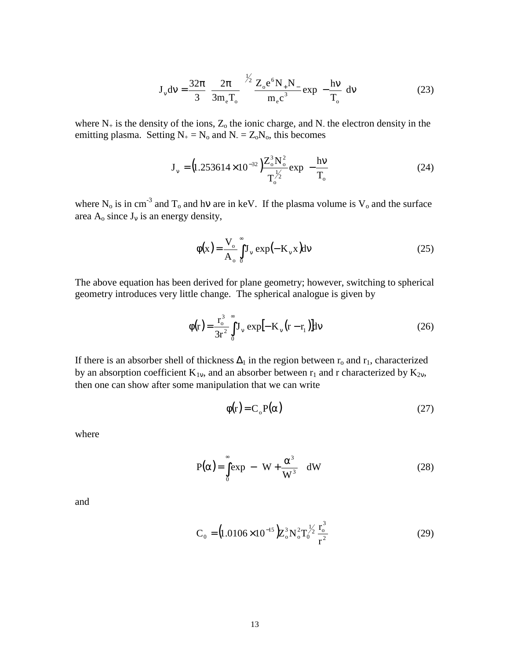$$
J_v dv = \frac{32\pi}{3} \left( \frac{2\pi}{3m_e T_o} \right)^{1/2} \frac{Z_o e^6 N_+ N_-}{m_e c^3} exp\left(-\frac{hv}{T_o}\right) dv \tag{23}
$$

where  $N_+$  is the density of the ions,  $Z_0$  the ionic charge, and N<sub>-</sub> the electron density in the emitting plasma. Setting  $N_+ = N_0$  and  $N_- = Z_0N_0$ , this becomes

$$
J_v = (1.253614 \times 10^{-32}) \frac{Z_o^3 N_o^2}{T_o^{1/2}} exp\left(-\frac{hv}{T_o}\right)
$$
 (24)

where N<sub>o</sub> is in cm<sup>-3</sup> and T<sub>o</sub> and hv are in keV. If the plasma volume is V<sub>o</sub> and the surface area  $A_0$  since  $J_v$  is an energy density,

$$
\phi(\mathbf{x}) = \frac{\mathbf{V}_o}{\mathbf{A}_o} \int_0^\infty \mathbf{J}_v \exp(-\mathbf{K}_v \mathbf{x}) \mathrm{d}v \tag{25}
$$

The above equation has been derived for plane geometry; however, switching to spherical geometry introduces very little change. The spherical analogue is given by

$$
\phi(r) = \frac{r_o^3}{3r^2} \int_0^{\infty} J_v \exp[-K_v (r - r_1)] dv
$$
 (26)

If there is an absorber shell of thickness  $\Delta_1$  in the region between  $r_0$  and  $r_1$ , characterized by an absorption coefficient  $K_{1v}$ , and an absorber between  $r_1$  and r characterized by  $K_{2v}$ , then one can show after some manipulation that we can write

$$
\phi(r) = C_o P(\alpha) \tag{27}
$$

where

$$
P(\alpha) = \int_{0}^{\infty} \exp\left[-\left(W + \frac{\alpha^3}{W^3}\right)\right] dW
$$
 (28)

and

$$
C_0 = (1.0106 \times 10^{-15}) Z_0^3 N_0^2 T_0^{1/2} \frac{r_0^3}{r^2}
$$
 (29)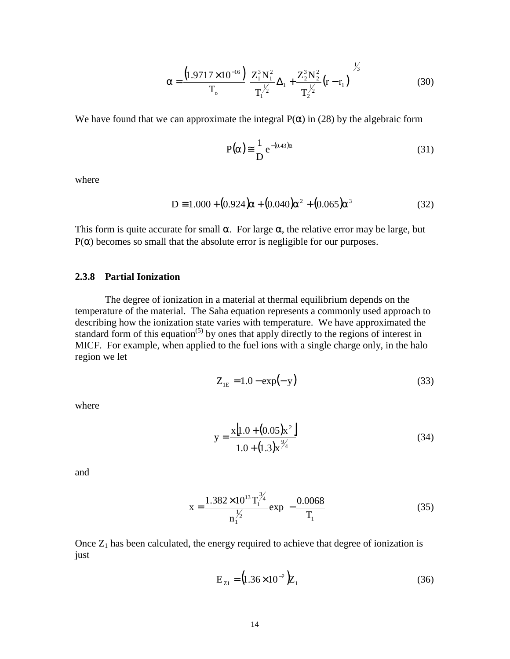$$
\alpha = \frac{\left(1.9717 \times 10^{-16}\right)}{T_o} \left[ \frac{Z_1^3 N_1^2}{T_1^{1/2}} \Delta_1 + \frac{Z_2^3 N_2^2}{T_2^{1/2}} (r - r_1) \right]^{1/3}
$$
(30)

We have found that we can approximate the integral  $P(\alpha)$  in (28) by the algebraic form

$$
P(\alpha) \approx \frac{1}{D} e^{-(0.43)\alpha}
$$
 (31)

where

$$
D = 1.000 + (0.924)\alpha + (0.040)\alpha^{2} + (0.065)\alpha^{3}
$$
 (32)

This form is quite accurate for small  $\alpha$ . For large  $\alpha$ , the relative error may be large, but  $P(\alpha)$  becomes so small that the absolute error is negligible for our purposes.

#### **2.3.8 Partial Ionization**

The degree of ionization in a material at thermal equilibrium depends on the temperature of the material. The Saha equation represents a commonly used approach to describing how the ionization state varies with temperature. We have approximated the standard form of this equation<sup> $(5)$ </sup> by ones that apply directly to the regions of interest in MICF. For example, when applied to the fuel ions with a single charge only, in the halo region we let

$$
Z_{IE} = 1.0 - \exp(-y)
$$
 (33)

where

$$
y = \frac{x[1.0 + (0.05)x^2]}{1.0 + (1.3)x^{2/4}}
$$
(34)

and

$$
x = \frac{1.382 \times 10^{13} T_1^{\frac{3}{4}}}{n_1^{\frac{1}{2}}} exp\left(-\frac{0.0068}{T_1}\right)
$$
(35)

Once  $Z_1$  has been calculated, the energy required to achieve that degree of ionization is just

$$
E_{Z1} = (1.36 \times 10^{-2})Z_1
$$
 (36)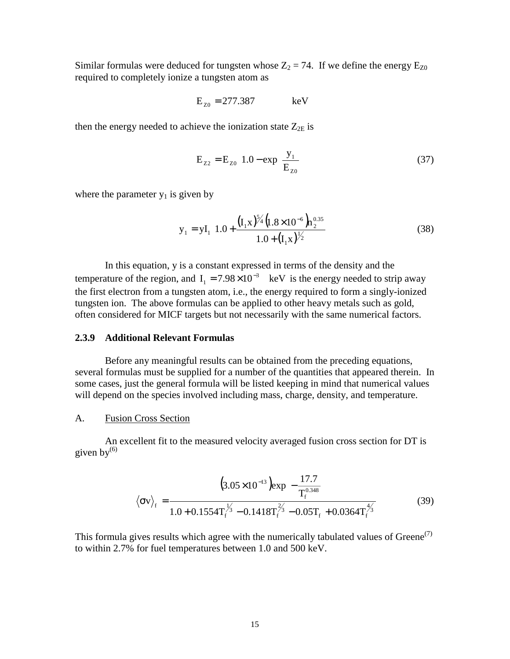Similar formulas were deduced for tungsten whose  $Z_2 = 74$ . If we define the energy  $E_{Z0}$ required to completely ionize a tungsten atom as

$$
E_{z0} = 277.387 \qquad \text{keV}
$$

then the energy needed to achieve the ionization state  $Z_{2E}$  is

$$
E_{Z2} = E_{Z0} \left[ 1.0 - \exp\left(\frac{y_1}{E_{Z0}}\right) \right]
$$
 (37)

where the parameter  $y_1$  is given by

$$
y_1 = yI_1 \left[ 1.0 + \frac{\left( I_1 x \right)^{5/4} \left( 1.8 \times 10^{-6} \right) h_2^{0.35}}{1.0 + \left( I_1 x \right)^{1/2}} \right]
$$
(38)

In this equation, y is a constant expressed in terms of the density and the temperature of the region, and  $I_1 = 7.98 \times 10^{-3}$  keV is the energy needed to strip away the first electron from a tungsten atom, i.e., the energy required to form a singly-ionized tungsten ion. The above formulas can be applied to other heavy metals such as gold, often considered for MICF targets but not necessarily with the same numerical factors.

#### **2.3.9 Additional Relevant Formulas**

Before any meaningful results can be obtained from the preceding equations, several formulas must be supplied for a number of the quantities that appeared therein. In some cases, just the general formula will be listed keeping in mind that numerical values will depend on the species involved including mass, charge, density, and temperature.

#### A. Fusion Cross Section

An excellent fit to the measured velocity averaged fusion cross section for DT is given  $bv^{(6)}$ 

$$
\langle \sigma v \rangle_{f} = \frac{\left(3.05 \times 10^{-13} \right) \exp\left[-\frac{17.7}{T_{f}^{0.348}}\right]}{1.0 + 0.1554 T_{f}^{\frac{1}{3}} - 0.1418 T_{f}^{\frac{2}{3}} - 0.05 T_{f} + 0.0364 T_{f}^{\frac{4}{3}}}
$$
(39)

This formula gives results which agree with the numerically tabulated values of  $Green<sup>(7)</sup>$ to within 2.7% for fuel temperatures between 1.0 and 500 keV.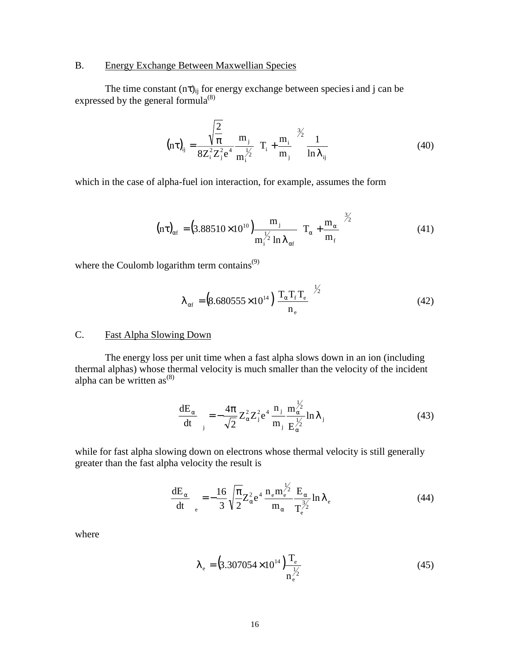#### B. Energy Exchange Between Maxwellian Species

The time constant  $(n\tau)_{ij}$  for energy exchange between species i and j can be expressed by the general formula $^{(8)}$ 

$$
(\mathbf{n}\tau)_{ij} = \frac{\sqrt{\frac{2}{\pi}}}{8Z_i^2 Z_j^2 e^4} \frac{m_j}{m_i^{1/2}} \left( T_i + \frac{m_i}{m_j} \right)^{3/2} \frac{1}{\ln \lambda_{ij}}
$$
(40)

which in the case of alpha-fuel ion interaction, for example, assumes the form

$$
(\text{nt})_{\alpha f} = (3.88510 \times 10^{10}) \frac{\text{m}_{j}}{\text{m}_{i}^{1/2} \ln \lambda_{\alpha f}} \left(\text{T}_{\alpha} + \frac{\text{m}_{\alpha}}{\text{m}_{f}}\right)^{3/2} \tag{41}
$$

where the Coulomb logarithm term contains $^{(9)}$ 

$$
\lambda_{\alpha f} = (8.680555 \times 10^{14} \left( \frac{T_{\alpha} T_{f} T_{e}}{n_{e}} \right)^{1/2}
$$
(42)

#### C. Fast Alpha Slowing Down

The energy loss per unit time when a fast alpha slows down in an ion (including thermal alphas) whose thermal velocity is much smaller than the velocity of the incident alpha can be written  $as^{(8)}$ 

$$
\left(\frac{\mathrm{d}E_{\alpha}}{\mathrm{d}t}\right)_{\mathrm{j}} = -\frac{4\pi}{\sqrt{2}} Z_{\alpha}^{2} Z_{\mathrm{j}}^{2} e^{4} \frac{n_{\mathrm{j}}}{m_{\mathrm{j}}} \frac{m_{\alpha}^{1/2}}{E_{\alpha}^{1/2}} \ln \lambda_{\mathrm{j}} \tag{43}
$$

while for fast alpha slowing down on electrons whose thermal velocity is still generally greater than the fast alpha velocity the result is

$$
\left(\frac{\mathrm{d}E_{\alpha}}{\mathrm{d}t}\right)_{\mathrm{e}} = -\frac{16}{3} \sqrt{\frac{\pi}{2}} Z_{\alpha}^2 \mathrm{e}^4 \frac{\mathrm{n}_{\mathrm{e}} \mathrm{m}_{\mathrm{e}}^{\frac{1}{2}}}{\mathrm{m}_{\alpha}} \frac{E_{\alpha}}{\mathrm{T}_{\mathrm{e}}^{\frac{3}{2}}} \ln \lambda_{\mathrm{e}}
$$
(44)

where

$$
\lambda_{\rm e} = (3.307054 \times 10^{14}) \frac{T_{\rm e}}{n_{\rm e}^{\frac{1}{2}}}
$$
(45)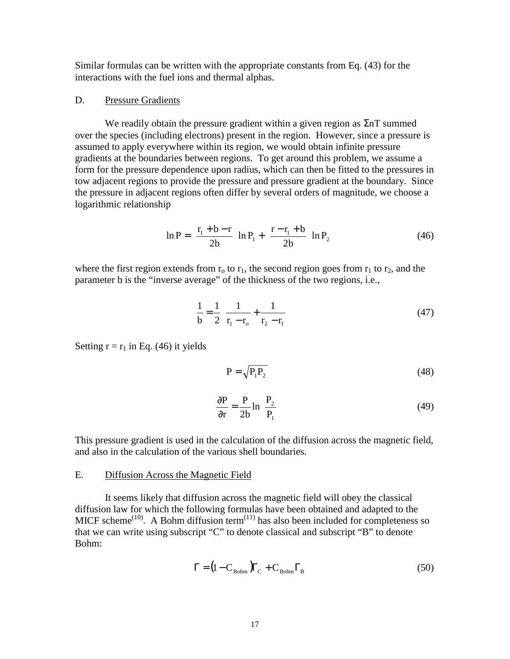Similar formulas can be written with the appropriate constants from Eq. (43) for the interactions with the fuel ions and thermal alphas.

#### D. Pressure Gradients

We readily obtain the pressure gradient within a given region as  $\Sigma n$  summed over the species (including electrons) present in the region. However, since a pressure is assumed to apply everywhere within its region, we would obtain infinite pressure gradients at the boundaries between regions. To get around this problem, we assume a form for the pressure dependence upon radius, which can then be fitted to the pressures in tow adjacent regions to provide the pressure and pressure gradient at the boundary. Since the pressure in adjacent regions often differ by several orders of magnitude, we choose a logarithmic relationship

$$
\ln P = \left(\frac{r_1 + b - r}{2b}\right) \ln P_1 + \left(\frac{r - r_1 + b}{2b}\right) \ln P_2 \tag{46}
$$

where the first region extends from  $r_0$  to  $r_1$ , the second region goes from  $r_1$  to  $r_2$ , and the parameter b is the "inverse average" of the thickness of the two regions, i.e.,

$$
\frac{1}{b} = \frac{1}{2} \left[ \frac{1}{r_1 - r_0} + \frac{1}{r_2 - r_1} \right]
$$
(47)

Setting  $r = r_1$  in Eq. (46) it yields

$$
P = \sqrt{P_1 P_2} \tag{48}
$$

$$
\frac{\partial P}{\partial r} = \frac{P}{2b} \ln \left( \frac{P_2}{P_1} \right) \tag{49}
$$

This pressure gradient is used in the calculation of the diffusion across the magnetic field, and also in the calculation of the various shell boundaries.

#### E. Diffusion Across the Magnetic Field

It seems likely that diffusion across the magnetic field will obey the classical diffusion law for which the following formulas have been obtained and adapted to the MICF scheme<sup>(10)</sup>. A Bohm diffusion term<sup>(11)</sup> has also been included for completeness so that we can write using subscript "C" to denote classical and subscript "B" to denote Bohm:

$$
\Gamma = (1 - C_{\text{Bohm}}) \Gamma_{\text{C}} + C_{\text{Bohm}} \Gamma_{\text{B}}
$$
\n(50)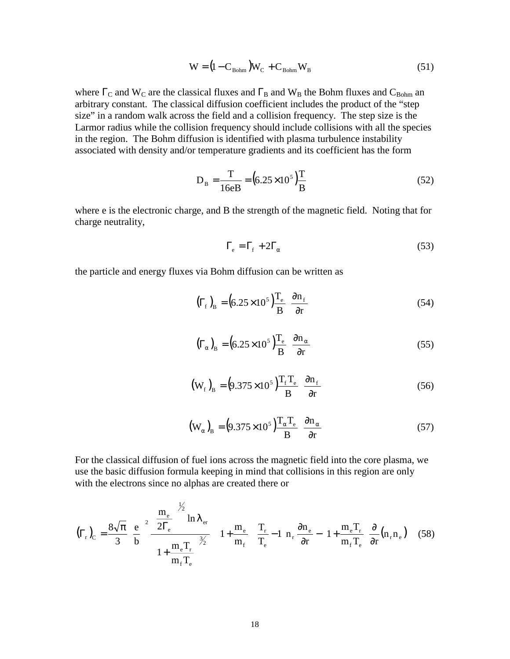$$
W = (1 - C_{\text{Bohm}})W_{\text{C}} + C_{\text{Bohm}}W_{\text{B}}
$$
\n(51)

where  $\Gamma_c$  and W<sub>C</sub> are the classical fluxes and  $\Gamma_B$  and W<sub>B</sub> the Bohm fluxes and C<sub>Bohm</sub> an arbitrary constant. The classical diffusion coefficient includes the product of the "step size" in a random walk across the field and a collision frequency. The step size is the Larmor radius while the collision frequency should include collisions with all the species in the region. The Bohm diffusion is identified with plasma turbulence instability associated with density and/or temperature gradients and its coefficient has the form

$$
D_{B} = \frac{T}{16eB} = (6.25 \times 10^{5}) \frac{T}{B}
$$
 (52)

where e is the electronic charge, and B the strength of the magnetic field. Noting that for charge neutrality,

$$
\Gamma_{\rm e} = \Gamma_{\rm f} + 2\Gamma_{\alpha} \tag{53}
$$

the particle and energy fluxes via Bohm diffusion can be written as

$$
\left(\Gamma_{\rm f}\right)_{\rm B} = \left(6.25 \times 10^5\right) \frac{\Gamma_{\rm e}}{\rm B} \left(\frac{\partial \mathbf{n}_{\rm f}}{\partial \mathbf{r}}\right) \tag{54}
$$

$$
\left(\Gamma_{\alpha}\right)_{B} = \left(6.25 \times 10^{5}\right) \frac{T_{e}}{B} \left(\frac{\partial n_{\alpha}}{\partial r}\right)
$$
\n(55)

$$
\left(\mathbf{W}_{\mathrm{f}}\right)_{\mathrm{B}} = \left(9.375 \times 10^5\right) \frac{\mathrm{T}_{\mathrm{f}} \mathrm{T}_{\mathrm{e}}}{\mathrm{B}} \left(\frac{\partial \mathrm{n}_{\mathrm{f}}}{\partial \mathrm{r}}\right) \tag{56}
$$

$$
\left(\mathbf{W}_{\alpha}\right)_{\mathbf{B}} = \left(9.375 \times 10^5\right) \frac{\mathbf{T}_{\alpha} \mathbf{T}_{\text{e}}}{\mathbf{B}} \left(\frac{\partial \mathbf{n}_{\alpha}}{\partial r}\right) \tag{57}
$$

For the classical diffusion of fuel ions across the magnetic field into the core plasma, we use the basic diffusion formula keeping in mind that collisions in this region are only with the electrons since no alphas are created there or

$$
\left(\Gamma_{r}\right)_{C} = \frac{8\sqrt{\pi}}{3} \left(\frac{e}{b}\right)^{2} \frac{\left(\frac{m_{e}}{2\Gamma_{e}}\right)^{\frac{1}{2}} \ln \lambda_{er}}{\left(1 + \frac{m_{e}T_{r}}{m_{f}T_{e}}\right)^{\frac{3}{2}} \left[\left(1 + \frac{m_{e}}{m_{f}}\right)\left(\frac{T_{r}}{T_{e}}\right) - 1\right] h_{r} \frac{\partial n_{e}}{\partial r} - \left(1 + \frac{m_{e}T_{r}}{m_{f}T_{e}}\right)\frac{\partial}{\partial r}\left(n_{r}n_{e}\right)\right] \tag{58}
$$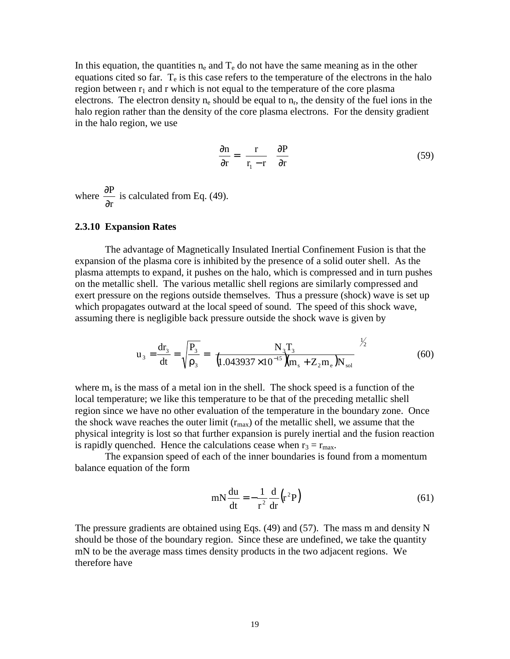In this equation, the quantities  $n_e$  and  $T_e$  do not have the same meaning as in the other equations cited so far.  $T_e$  is this case refers to the temperature of the electrons in the halo region between  $r_1$  and r which is not equal to the temperature of the core plasma electrons. The electron density  $n_e$  should be equal to  $n_r$ , the density of the fuel ions in the halo region rather than the density of the core plasma electrons. For the density gradient in the halo region, we use

$$
\frac{\partial \mathbf{n}}{\partial \mathbf{r}} = \left(\frac{\mathbf{r}}{\mathbf{r}_1 - \mathbf{r}}\right) \frac{\partial \mathbf{P}}{\partial \mathbf{r}}\tag{59}
$$

where r P ∂  $\frac{\partial P}{\partial \rho}$  is calculated from Eq. (49).

#### **2.3.10 Expansion Rates**

The advantage of Magnetically Insulated Inertial Confinement Fusion is that the expansion of the plasma core is inhibited by the presence of a solid outer shell. As the plasma attempts to expand, it pushes on the halo, which is compressed and in turn pushes on the metallic shell. The various metallic shell regions are similarly compressed and exert pressure on the regions outside themselves. Thus a pressure (shock) wave is set up which propagates outward at the local speed of sound. The speed of this shock wave, assuming there is negligible back pressure outside the shock wave is given by

$$
u_3 = \frac{dr_3}{dt} = \sqrt{\frac{P_3}{\rho_3}} = \left[ \frac{N_3 T_3}{(1.043937 \times 10^{-15}) (m_s + Z_2 m_e) N_{sol}} \right]^{1/2}
$$
(60)

where  $m_s$  is the mass of a metal ion in the shell. The shock speed is a function of the local temperature; we like this temperature to be that of the preceding metallic shell region since we have no other evaluation of the temperature in the boundary zone. Once the shock wave reaches the outer limit  $(r_{\text{max}})$  of the metallic shell, we assume that the physical integrity is lost so that further expansion is purely inertial and the fusion reaction is rapidly quenched. Hence the calculations cease when  $r_3 = r_{\text{max}}$ .

The expansion speed of each of the inner boundaries is found from a momentum balance equation of the form

$$
mN\frac{du}{dt} = -\frac{1}{r^2}\frac{d}{dr}\left(r^2P\right)
$$
 (61)

The pressure gradients are obtained using Eqs. (49) and (57). The mass m and density N should be those of the boundary region. Since these are undefined, we take the quantity mN to be the average mass times density products in the two adjacent regions. We therefore have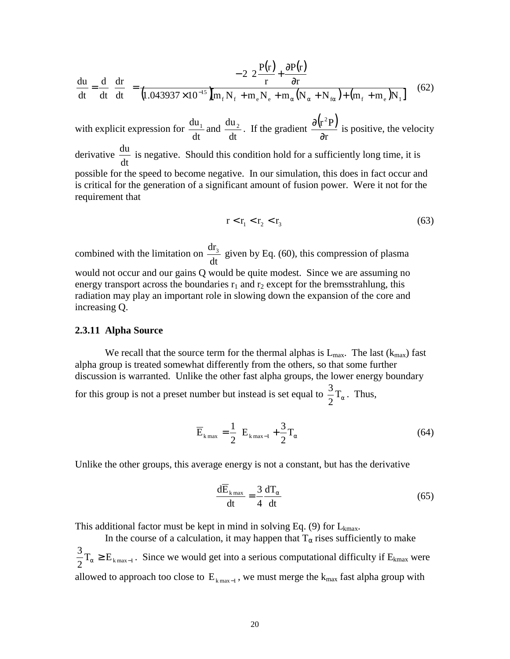$$
\frac{du}{dt} = \frac{d}{dt} \left( \frac{dr}{dt} \right) = \frac{-2 \left[ 2 \frac{P(r)}{r} + \frac{\partial P(r)}{\partial r} \right]}{\left( 1.043937 \times 10^{-15} \int m_f N_f + m_e N_e + m_\alpha (N_\alpha + N_{f\alpha}) + (m_f + m_e) N_1 \right]}
$$
(62)

with explicit expression for  $\frac{du_1}{dt}$  and dt  $rac{du_2}{dt}$ . If the gradient  $\frac{\partial (r^2P)}{\partial}$ r  $r^2P$ ∂  $\frac{\partial (r^2P)}{\partial r^2}$  is positive, the velocity derivative dt  $\frac{du}{dt}$  is negative. Should this condition hold for a sufficiently long time, it is possible for the speed to become negative. In our simulation, this does in fact occur and is critical for the generation of a significant amount of fusion power. Were it not for the requirement that

$$
r < r_1 < r_2 < r_3 \tag{63}
$$

combined with the limitation on dt  $\frac{dr_3}{dr_3}$  given by Eq. (60), this compression of plasma would not occur and our gains Q would be quite modest. Since we are assuming no energy transport across the boundaries  $r_1$  and  $r_2$  except for the bremsstrahlung, this radiation may play an important role in slowing down the expansion of the core and increasing Q.

#### **2.3.11 Alpha Source**

We recall that the source term for the thermal alphas is  $L_{\text{max}}$ . The last ( $k_{\text{max}}$ ) fast alpha group is treated somewhat differently from the others, so that some further discussion is warranted. Unlike the other fast alpha groups, the lower energy boundary for this group is not a preset number but instead is set equal to  $\frac{3}{2}T_{\alpha}$ . Thus,

$$
\overline{\mathbf{E}}_{k\max} = \frac{1}{2} \left[ \mathbf{E}_{k\max-1} + \frac{3}{2} \mathbf{T}_{\alpha} \right]
$$
 (64)

Unlike the other groups, this average energy is not a constant, but has the derivative

$$
\frac{d\overline{E}_{k_{\text{max}}}}{dt} = \frac{3}{4} \frac{dT_{\alpha}}{dt}
$$
 (65)

This additional factor must be kept in mind in solving Eq. (9) for  $L_{kmax}$ .

In the course of a calculation, it may happen that  $T_{\alpha}$  rises sufficiently to make  $\frac{3}{2}T_{\alpha} \ge E_{k_{\text{max}}-1}$ . Since we would get into a serious computational difficulty if  $E_{k_{\text{max}}}$  were allowed to approach too close to  $E_{k_{max}-1}$ , we must merge the  $k_{max}$  fast alpha group with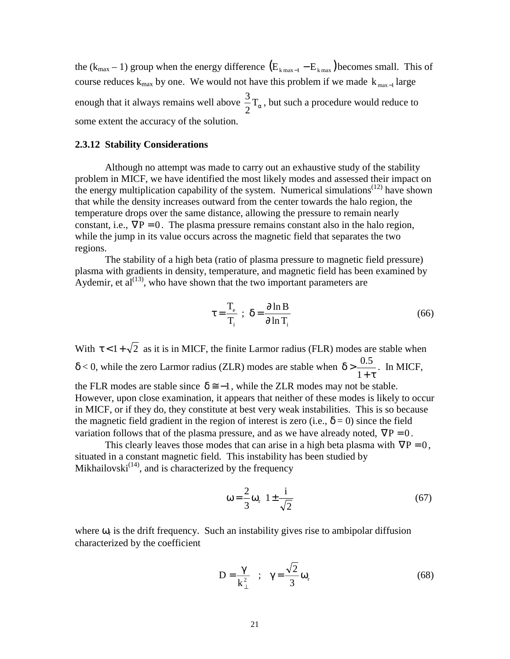the ( $k_{max}$  – 1) group when the energy difference  $(E_{k_{max}-1} - E_{k_{max}})$  becomes small. This of course reduces  $k_{max}$  by one. We would not have this problem if we made  $k_{max-1}$  large enough that it always remains well above  $\frac{3}{2}T_{\alpha}$ , but such a procedure would reduce to some extent the accuracy of the solution.

#### **2.3.12 Stability Considerations**

Although no attempt was made to carry out an exhaustive study of the stability problem in MICF, we have identified the most likely modes and assessed their impact on the energy multiplication capability of the system. Numerical simulations<sup> $(12)$ </sup> have shown that while the density increases outward from the center towards the halo region, the temperature drops over the same distance, allowing the pressure to remain nearly constant, i.e.,  $\nabla P = 0$ . The plasma pressure remains constant also in the halo region, while the jump in its value occurs across the magnetic field that separates the two regions.

The stability of a high beta (ratio of plasma pressure to magnetic field pressure) plasma with gradients in density, temperature, and magnetic field has been examined by Aydemir, et  $al^{(13)}$ , who have shown that the two important parameters are

$$
\tau = \frac{T_e}{T_i} \; ; \; \delta = \frac{\partial \ln B}{\partial \ln T_i} \tag{66}
$$

With  $\tau < 1 + \sqrt{2}$  as it is in MICF, the finite Larmor radius (FLR) modes are stable when  $\delta$  < 0, while the zero Larmor radius (ZLR) modes are stable when  $+$  τ  $\delta$  > 1  $\frac{0.5}{\phantom{000}}$ . In MICF, the FLR modes are stable since  $\delta \approx -1$ , while the ZLR modes may not be stable. However, upon close examination, it appears that neither of these modes is likely to occur in MICF, or if they do, they constitute at best very weak instabilities. This is so because the magnetic field gradient in the region of interest is zero (i.e.,  $\delta = 0$ ) since the field variation follows that of the plasma pressure, and as we have already noted,  $\nabla P = 0$ .

This clearly leaves those modes that can arise in a high beta plasma with  $\nabla P = 0$ , situated in a constant magnetic field. This instability has been studied by Mikhailovski $^{(14)}$ , and is characterized by the frequency

$$
\omega = \frac{2}{3} \omega_r \left[ 1 \pm \frac{i}{\sqrt{2}} \right] \tag{67}
$$

where  $\omega_r$  is the drift frequency. Such an instability gives rise to ambipolar diffusion characterized by the coefficient

$$
D = \frac{\gamma}{k_{\perp}^2} \quad ; \quad \gamma = \frac{\sqrt{2}}{3} \omega_r \tag{68}
$$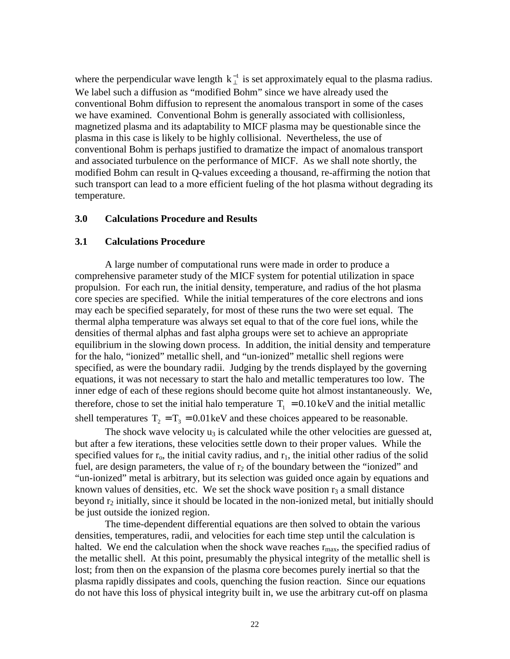where the perpendicular wave length  $k_{\perp}^{-1}$  is set approximately equal to the plasma radius. We label such a diffusion as "modified Bohm" since we have already used the conventional Bohm diffusion to represent the anomalous transport in some of the cases we have examined. Conventional Bohm is generally associated with collisionless, magnetized plasma and its adaptability to MICF plasma may be questionable since the plasma in this case is likely to be highly collisional. Nevertheless, the use of conventional Bohm is perhaps justified to dramatize the impact of anomalous transport and associated turbulence on the performance of MICF. As we shall note shortly, the modified Bohm can result in Q-values exceeding a thousand, re-affirming the notion that such transport can lead to a more efficient fueling of the hot plasma without degrading its temperature.

#### **3.0 Calculations Procedure and Results**

#### **3.1 Calculations Procedure**

A large number of computational runs were made in order to produce a comprehensive parameter study of the MICF system for potential utilization in space propulsion. For each run, the initial density, temperature, and radius of the hot plasma core species are specified. While the initial temperatures of the core electrons and ions may each be specified separately, for most of these runs the two were set equal. The thermal alpha temperature was always set equal to that of the core fuel ions, while the densities of thermal alphas and fast alpha groups were set to achieve an appropriate equilibrium in the slowing down process. In addition, the initial density and temperature for the halo, "ionized" metallic shell, and "un-ionized" metallic shell regions were specified, as were the boundary radii. Judging by the trends displayed by the governing equations, it was not necessary to start the halo and metallic temperatures too low. The inner edge of each of these regions should become quite hot almost instantaneously. We, therefore, chose to set the initial halo temperature  $T_1 = 0.10 \text{ keV}$  and the initial metallic shell temperatures  $T_2 = T_3 = 0.01 \text{ keV}$  and these choices appeared to be reasonable.

The shock wave velocity  $u_3$  is calculated while the other velocities are guessed at, but after a few iterations, these velocities settle down to their proper values. While the specified values for  $r_0$ , the initial cavity radius, and  $r_1$ , the initial other radius of the solid fuel, are design parameters, the value of  $r_2$  of the boundary between the "ionized" and "un-ionized" metal is arbitrary, but its selection was guided once again by equations and known values of densities, etc. We set the shock wave position  $r_3$  a small distance beyond  $r_2$  initially, since it should be located in the non-ionized metal, but initially should be just outside the ionized region.

The time-dependent differential equations are then solved to obtain the various densities, temperatures, radii, and velocities for each time step until the calculation is halted. We end the calculation when the shock wave reaches  $r_{\text{max}}$ , the specified radius of the metallic shell. At this point, presumably the physical integrity of the metallic shell is lost; from then on the expansion of the plasma core becomes purely inertial so that the plasma rapidly dissipates and cools, quenching the fusion reaction. Since our equations do not have this loss of physical integrity built in, we use the arbitrary cut-off on plasma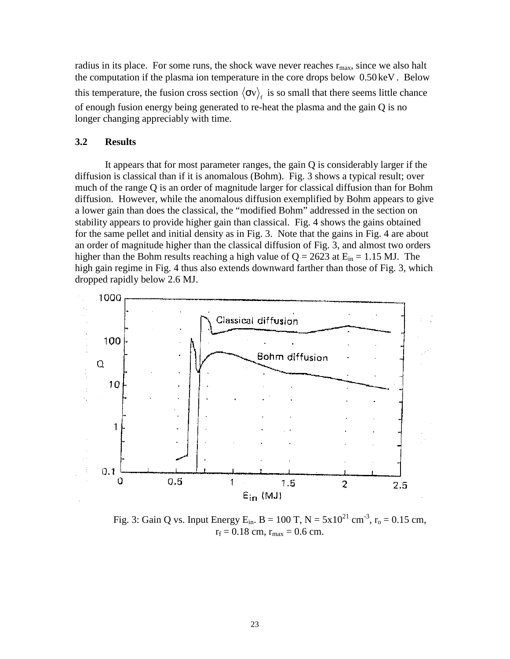radius in its place. For some runs, the shock wave never reaches  $r_{\text{max}}$ , since we also halt the computation if the plasma ion temperature in the core drops below 0.50 keV . Below this temperature, the fusion cross section  $\langle \sigma v \rangle_f$  is so small that there seems little chance of enough fusion energy being generated to re-heat the plasma and the gain Q is no longer changing appreciably with time.

#### **3.2 Results**

It appears that for most parameter ranges, the gain Q is considerably larger if the diffusion is classical than if it is anomalous (Bohm). Fig. 3 shows a typical result; over much of the range Q is an order of magnitude larger for classical diffusion than for Bohm diffusion. However, while the anomalous diffusion exemplified by Bohm appears to give a lower gain than does the classical, the "modified Bohm" addressed in the section on stability appears to provide higher gain than classical. Fig. 4 shows the gains obtained for the same pellet and initial density as in Fig. 3. Note that the gains in Fig. 4 are about an order of magnitude higher than the classical diffusion of Fig. 3, and almost two orders higher than the Bohm results reaching a high value of  $Q = 2623$  at  $E_{in} = 1.15$  MJ. The high gain regime in Fig. 4 thus also extends downward farther than those of Fig. 3, which dropped rapidly below 2.6 MJ.



Fig. 3: Gain Q vs. Input Energy E<sub>in</sub>. B = 100 T, N =  $5x10^{21}$  cm<sup>-3</sup>, r<sub>o</sub> = 0.15 cm,  $r_f = 0.18$  cm,  $r_{\text{max}} = 0.6$  cm.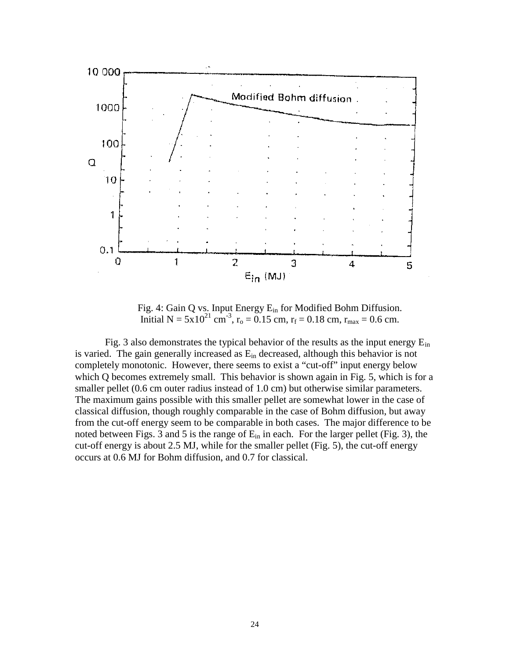

Fig. 4: Gain Q vs. Input Energy E<sub>in</sub> for Modified Bohm Diffusion. Initial N =  $5x10^{21}$  cm<sup>-3</sup>, r<sub>o</sub> = 0.15 cm, r<sub>f</sub> = 0.18 cm, r<sub>max</sub> = 0.6 cm.

Fig. 3 also demonstrates the typical behavior of the results as the input energy  $E_{in}$ is varied. The gain generally increased as  $E_{in}$  decreased, although this behavior is not completely monotonic. However, there seems to exist a "cut-off" input energy below which Q becomes extremely small. This behavior is shown again in Fig. 5, which is for a smaller pellet (0.6 cm outer radius instead of 1.0 cm) but otherwise similar parameters. The maximum gains possible with this smaller pellet are somewhat lower in the case of classical diffusion, though roughly comparable in the case of Bohm diffusion, but away from the cut-off energy seem to be comparable in both cases. The major difference to be noted between Figs. 3 and 5 is the range of  $E_{in}$  in each. For the larger pellet (Fig. 3), the cut-off energy is about 2.5 MJ, while for the smaller pellet (Fig. 5), the cut-off energy occurs at 0.6 MJ for Bohm diffusion, and 0.7 for classical.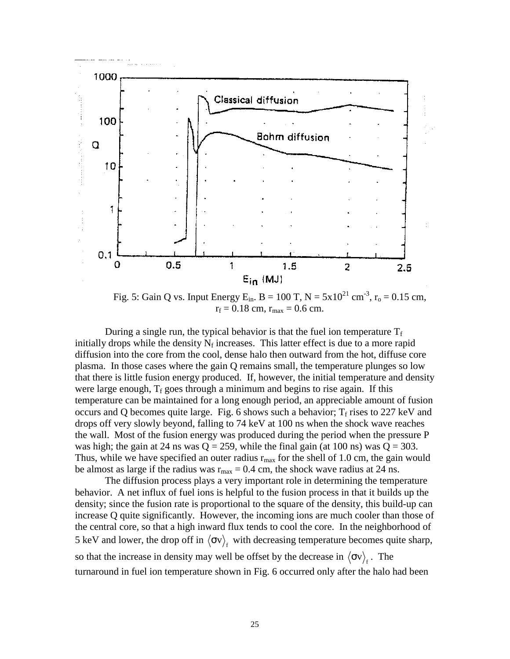

Fig. 5: Gain Q vs. Input Energy E<sub>in</sub>. B = 100 T, N =  $5x10^{21}$  cm<sup>-3</sup>, r<sub>o</sub> = 0.15 cm,  $r_f = 0.18$  cm,  $r_{\text{max}} = 0.6$  cm.

During a single run, the typical behavior is that the fuel ion temperature  $T_f$ initially drops while the density  $N_f$  increases. This latter effect is due to a more rapid diffusion into the core from the cool, dense halo then outward from the hot, diffuse core plasma. In those cases where the gain Q remains small, the temperature plunges so low that there is little fusion energy produced. If, however, the initial temperature and density were large enough,  $T_f$  goes through a minimum and begins to rise again. If this temperature can be maintained for a long enough period, an appreciable amount of fusion occurs and Q becomes quite large. Fig. 6 shows such a behavior;  $T_f$  rises to 227 keV and drops off very slowly beyond, falling to 74 keV at 100 ns when the shock wave reaches the wall. Most of the fusion energy was produced during the period when the pressure P was high; the gain at 24 ns was  $Q = 259$ , while the final gain (at 100 ns) was  $Q = 303$ . Thus, while we have specified an outer radius  $r_{\text{max}}$  for the shell of 1.0 cm, the gain would be almost as large if the radius was  $r_{\text{max}} = 0.4 \text{ cm}$ , the shock wave radius at 24 ns.

The diffusion process plays a very important role in determining the temperature behavior. A net influx of fuel ions is helpful to the fusion process in that it builds up the density; since the fusion rate is proportional to the square of the density, this build-up can increase Q quite significantly. However, the incoming ions are much cooler than those of the central core, so that a high inward flux tends to cool the core. In the neighborhood of 5 keV and lower, the drop off in  $\langle \sigma v \rangle$ , with decreasing temperature becomes quite sharp, so that the increase in density may well be offset by the decrease in  $\langle \sigma v \rangle_{\rm r}$ . The turnaround in fuel ion temperature shown in Fig. 6 occurred only after the halo had been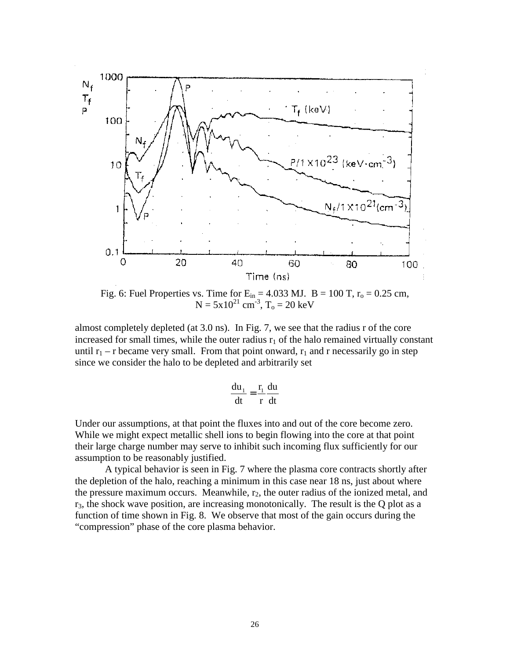

Fig. 6: Fuel Properties vs. Time for  $E_{in} = 4.033$  MJ.  $B = 100$  T,  $r_0 = 0.25$  cm,  $N = 5x10^{21}$  cm<sup>-3</sup>, T<sub>o</sub> = 20 keV

almost completely depleted (at 3.0 ns). In Fig. 7, we see that the radius r of the core increased for small times, while the outer radius  $r_1$  of the halo remained virtually constant until  $r_1 - r$  became very small. From that point onward,  $r_1$  and r necessarily go in step since we consider the halo to be depleted and arbitrarily set

$$
\frac{du_1}{dt} = \frac{r_1}{r} \frac{du}{dt}
$$

Under our assumptions, at that point the fluxes into and out of the core become zero. While we might expect metallic shell ions to begin flowing into the core at that point their large charge number may serve to inhibit such incoming flux sufficiently for our assumption to be reasonably justified.

A typical behavior is seen in Fig. 7 where the plasma core contracts shortly after the depletion of the halo, reaching a minimum in this case near 18 ns, just about where the pressure maximum occurs. Meanwhile,  $r_2$ , the outer radius of the ionized metal, and  $r_3$ , the shock wave position, are increasing monotonically. The result is the Q plot as a function of time shown in Fig. 8. We observe that most of the gain occurs during the "compression" phase of the core plasma behavior.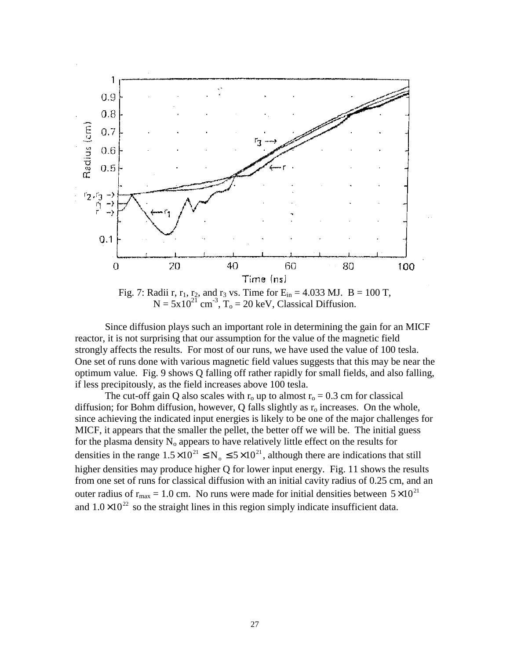

Fig. 7: Radii r,  $r_1$ ,  $r_2$ , and  $r_3$  vs. Time for  $E_{in} = 4.033$  MJ.  $B = 100$  T,  $N = 5x10^{21}$  cm<sup>-3</sup>, T<sub>o</sub> = 20 keV, Classical Diffusion.

Since diffusion plays such an important role in determining the gain for an MICF reactor, it is not surprising that our assumption for the value of the magnetic field strongly affects the results. For most of our runs, we have used the value of 100 tesla. One set of runs done with various magnetic field values suggests that this may be near the optimum value. Fig. 9 shows Q falling off rather rapidly for small fields, and also falling, if less precipitously, as the field increases above 100 tesla.

The cut-off gain Q also scales with  $r_0$  up to almost  $r_0 = 0.3$  cm for classical diffusion; for Bohm diffusion, however, Q falls slightly as  $r<sub>o</sub>$  increases. On the whole, since achieving the indicated input energies is likely to be one of the major challenges for MICF, it appears that the smaller the pellet, the better off we will be. The initial guess for the plasma density  $N_0$  appears to have relatively little effect on the results for densities in the range  $1.5 \times 10^{21} \le N_0 \le 5 \times 10^{21}$ , although there are indications that still higher densities may produce higher Q for lower input energy. Fig. 11 shows the results from one set of runs for classical diffusion with an initial cavity radius of 0.25 cm, and an outer radius of  $r_{\text{max}} = 1.0$  cm. No runs were made for initial densities between  $5 \times 10^{21}$ and  $1.0\times10^{22}$  so the straight lines in this region simply indicate insufficient data.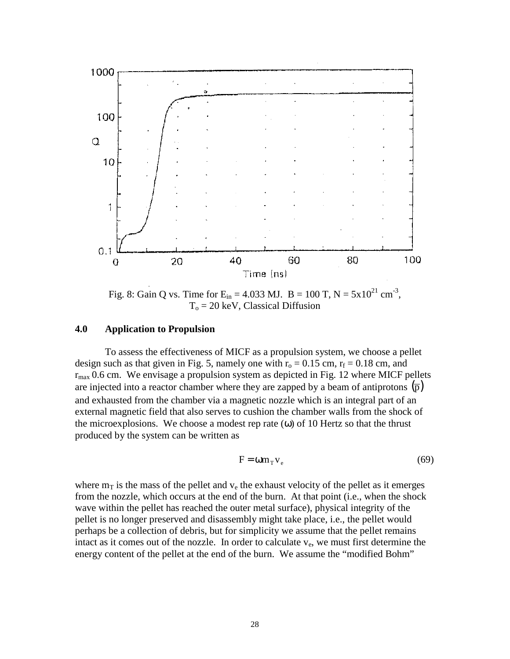

Fig. 8: Gain Q vs. Time for  $E_{in} = 4.033$  MJ.  $B = 100$  T,  $N = 5 \times 10^{21}$  cm<sup>-3</sup>,  $T<sub>o</sub> = 20$  keV, Classical Diffusion

#### **4.0 Application to Propulsion**

To assess the effectiveness of MICF as a propulsion system, we choose a pellet design such as that given in Fig. 5, namely one with  $r_0 = 0.15$  cm,  $r_f = 0.18$  cm, and  $r_{\text{max}}$  0.6 cm. We envisage a propulsion system as depicted in Fig. 12 where MICF pellets are injected into a reactor chamber where they are zapped by a beam of antiprotons  $\overline{p}$ ) and exhausted from the chamber via a magnetic nozzle which is an integral part of an external magnetic field that also serves to cushion the chamber walls from the shock of the microexplosions. We choose a modest rep rate  $(\omega)$  of 10 Hertz so that the thrust produced by the system can be written as

$$
F = \omega m_{T} v_{e}
$$
 (69)

where  $m<sub>T</sub>$  is the mass of the pellet and  $v<sub>e</sub>$  the exhaust velocity of the pellet as it emerges from the nozzle, which occurs at the end of the burn. At that point (i.e., when the shock wave within the pellet has reached the outer metal surface), physical integrity of the pellet is no longer preserved and disassembly might take place, i.e., the pellet would perhaps be a collection of debris, but for simplicity we assume that the pellet remains intact as it comes out of the nozzle. In order to calculate  $v_e$ , we must first determine the energy content of the pellet at the end of the burn. We assume the "modified Bohm"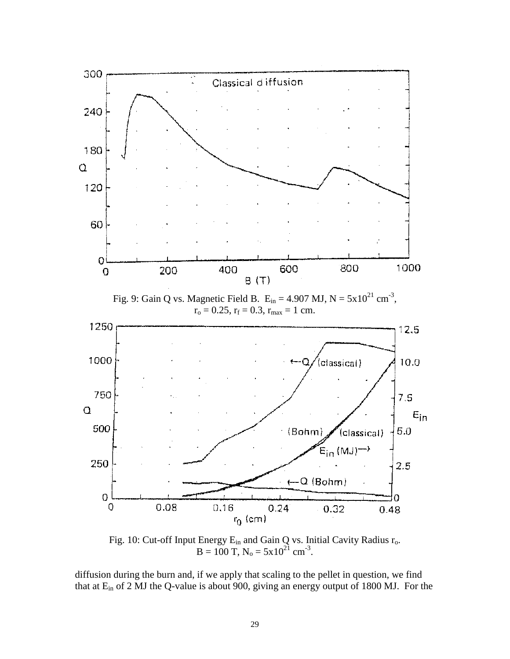

Fig. 10: Cut-off Input Energy  $E_{in}$  and Gain Q vs. Initial Cavity Radius  $r_o$ .  $B = 100$  T,  $N_0 = 5x10^{21}$  cm<sup>-3</sup>.

diffusion during the burn and, if we apply that scaling to the pellet in question, we find that at Ein of 2 MJ the Q-value is about 900, giving an energy output of 1800 MJ. For the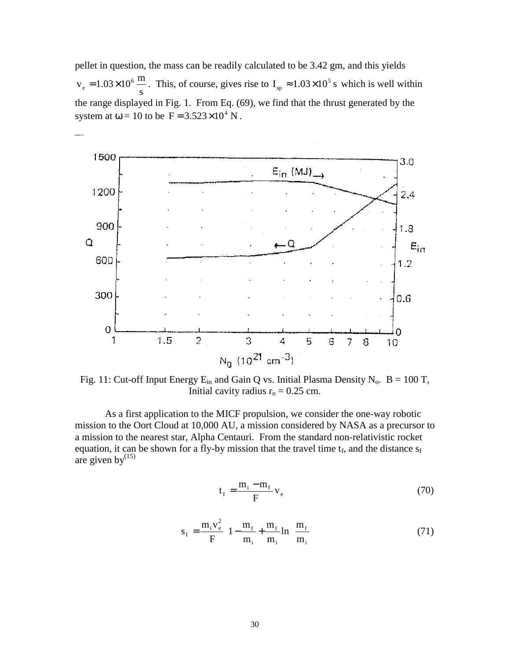pellet in question, the mass can be readily calculated to be 3.42 gm, and this yields s  $v_e = 1.03 \times 10^6 \frac{\text{m}}{\text{s}}$ . This, of course, gives rise to  $I_{sp} \approx 1.03 \times 10^5 \text{ s}$  which is well within the range displayed in Fig. 1. From Eq. (69), we find that the thrust generated by the system at  $\omega = 10$  to be  $F = 3.523 \times 10^4$  N.



Fig. 11: Cut-off Input Energy  $E_{in}$  and Gain Q vs. Initial Plasma Density N<sub>o</sub>. B = 100 T, Initial cavity radius  $r_0 = 0.25$  cm.

As a first application to the MICF propulsion, we consider the one-way robotic mission to the Oort Cloud at 10,000 AU, a mission considered by NASA as a precursor to a mission to the nearest star, Alpha Centauri. From the standard non-relativistic rocket equation, it can be shown for a fly-by mission that the travel time  $t_f$ , and the distance  $s_f$ are given by $^{(15)}$ 

$$
t_f = \frac{m_i - m_f}{F} v_e
$$
 (70)

$$
s_{f} = \frac{m_{i}v_{e}^{2}}{F} \left[1 - \frac{m_{f}}{m_{i}} + \frac{m_{f}}{m_{i}}\ln\left(\frac{m_{f}}{m_{i}}\right)\right]
$$
(71)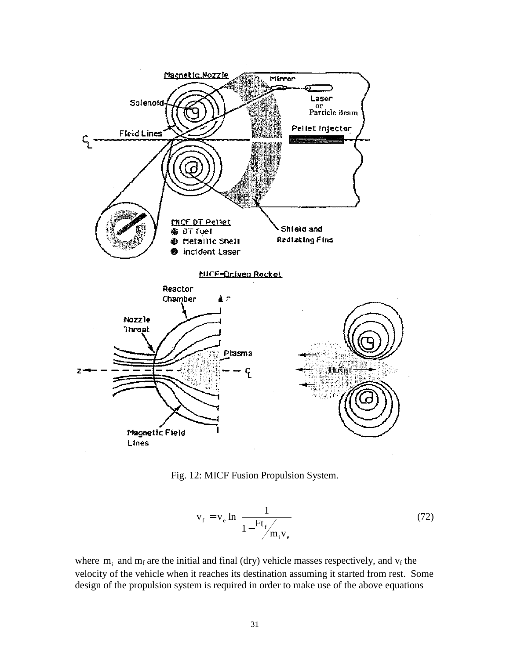



$$
\mathbf{v}_{\rm f} = \mathbf{v}_{\rm e} \ln \left[ \frac{1}{1 - \frac{\text{Ft}_{\rm f}}{m_{\rm i} \mathbf{v}_{\rm e}}} \right]
$$
(72)

where  $m_i$  and  $m_f$  are the initial and final (dry) vehicle masses respectively, and  $v_f$  the velocity of the vehicle when it reaches its destination assuming it started from rest. Some design of the propulsion system is required in order to make use of the above equations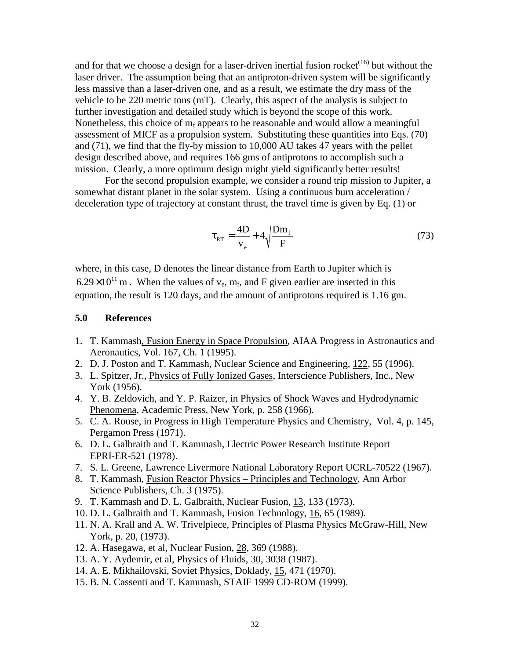and for that we choose a design for a laser-driven inertial fusion rocket<sup> $(16)$ </sup> but without the laser driver. The assumption being that an antiproton-driven system will be significantly less massive than a laser-driven one, and as a result, we estimate the dry mass of the vehicle to be 220 metric tons (mT). Clearly, this aspect of the analysis is subject to further investigation and detailed study which is beyond the scope of this work. Nonetheless, this choice of  $m_f$  appears to be reasonable and would allow a meaningful assessment of MICF as a propulsion system. Substituting these quantities into Eqs. (70) and (71), we find that the fly-by mission to 10,000 AU takes 47 years with the pellet design described above, and requires 166 gms of antiprotons to accomplish such a mission. Clearly, a more optimum design might yield significantly better results!

For the second propulsion example, we consider a round trip mission to Jupiter, a somewhat distant planet in the solar system. Using a continuous burn acceleration / deceleration type of trajectory at constant thrust, the travel time is given by Eq. (1) or

$$
\tau_{RT} = \frac{4D}{v_e} + 4\sqrt{\frac{Dm_f}{F}}
$$
\n(73)

where, in this case, D denotes the linear distance from Earth to Jupiter which is  $6.29 \times 10^{11}$  m. When the values of v<sub>e</sub>, m<sub>f</sub>, and F given earlier are inserted in this equation, the result is 120 days, and the amount of antiprotons required is 1.16 gm.

### **5.0 References**

- 1. T. Kammash, Fusion Energy in Space Propulsion, AIAA Progress in Astronautics and Aeronautics, Vol. 167, Ch. 1 (1995).
- 2. D. J. Poston and T. Kammash, Nuclear Science and Engineering, 122, 55 (1996).
- 3. L. Spitzer, Jr., Physics of Fully Ionized Gases, Interscience Publishers, Inc., New York (1956).
- 4. Y. B. Zeldovich, and Y. P. Raizer, in Physics of Shock Waves and Hydrodynamic Phenomena, Academic Press, New York, p. 258 (1966).
- 5. C. A. Rouse, in Progress in High Temperature Physics and Chemistry, Vol. 4, p. 145, Pergamon Press (1971).
- 6. D. L. Galbraith and T. Kammash, Electric Power Research Institute Report EPRI-ER-521 (1978).
- 7. S. L. Greene, Lawrence Livermore National Laboratory Report UCRL-70522 (1967).
- 8. T. Kammash, Fusion Reactor Physics Principles and Technology, Ann Arbor Science Publishers, Ch. 3 (1975).
- 9. T. Kammash and D. L. Galbraith, Nuclear Fusion, 13, 133 (1973).
- 10. D. L. Galbraith and T. Kammash, Fusion Technology, 16, 65 (1989).
- 11. N. A. Krall and A. W. Trivelpiece, Principles of Plasma Physics McGraw-Hill, New York, p. 20, (1973).
- 12. A. Hasegawa, et al, Nuclear Fusion, 28, 369 (1988).
- 13. A. Y. Aydemir, et al, Physics of Fluids, 30, 3038 (1987).
- 14. A. E. Mikhailovski, Soviet Physics, Doklady, 15, 471 (1970).
- 15. B. N. Cassenti and T. Kammash, STAIF 1999 CD-ROM (1999).